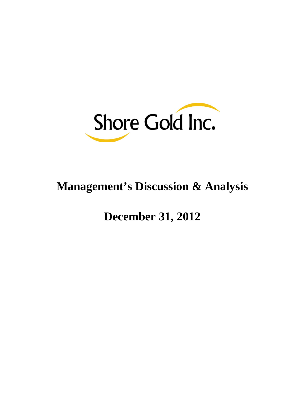

# **Management's Discussion & Analysis**

## **December 31, 2012**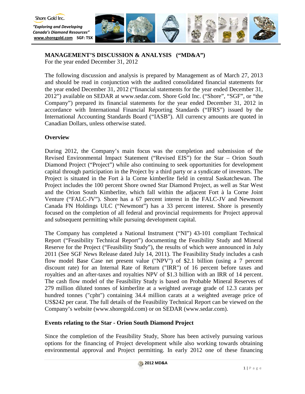

**MANAGEMENT'S DISCUSSION & ANALYSIS ("MD&A")** For the year ended December 31, 2012

The following discussion and analysis is prepared by Management as of March 27, 2013 and should be read in conjunction with the audited consolidated financial statements for the year ended December 31, 2012 ("financial statements for the year ended December 31, 2012") available on SEDAR at [www.sedar.com.](http://www.sedar.com/) Shore Gold Inc. ("Shore", "SGF", or "the Company") prepared its financial statements for the year ended December 31, 2012 in accordance with International Financial Reporting Standards ("IFRS") issued by the International Accounting Standards Board ("IASB"). All currency amounts are quoted in Canadian Dollars, unless otherwise stated.

## **Overview**

During 2012, the Company's main focus was the completion and submission of the Revised Environmental Impact Statement ("Revised EIS") for the Star – Orion South Diamond Project ("Project") while also continuing to seek opportunities for development capital through participation in the Project by a third party or a syndicate of investors. The Project is situated in the Fort à la Corne kimberlite field in central Saskatchewan. The Project includes the 100 percent Shore owned Star Diamond Project, as well as Star West and the Orion South Kimberlite, which fall within the adjacent Fort à la Corne Joint Venture ("FALC-JV"). Shore has a 67 percent interest in the FALC-JV and Newmont Canada FN Holdings ULC ("Newmont") has a 33 percent interest. Shore is presently focused on the completion of all federal and provincial requirements for Project approval and subsequent permitting while pursuing development capital.

The Company has completed a National Instrument ("NI") 43-101 compliant Technical Report ("Feasibility Technical Report") documenting the Feasibility Study and Mineral Reserve for the Project ("Feasibility Study"), the results of which were announced in July 2011 (See SGF News Release dated July 14, 2011). The Feasibility Study includes a cash flow model Base Case net present value ("NPV") of \$2.1 billion (using a 7 percent discount rate) for an Internal Rate of Return ("IRR") of 16 percent before taxes and royalties and an after-taxes and royalties NPV of \$1.3 billion with an IRR of 14 percent. The cash flow model of the Feasibility Study is based on Probable Mineral Reserves of 279 million diluted tonnes of kimberlite at a weighted average grade of 12.3 carats per hundred tonnes ("cpht") containing 34.4 million carats at a weighted average price of US\$242 per carat. The full details of the Feasibility Technical Report can be viewed on the Company's website (www.shoregold.com) or on SEDAR (www.sedar.com).

## **Events relating to the Star - Orion South Diamond Project**

Since the completion of the Feasibility Study, Shore has been actively pursuing various options for the financing of Project development while also working towards obtaining environmental approval and Project permitting. In early 2012 one of these financing

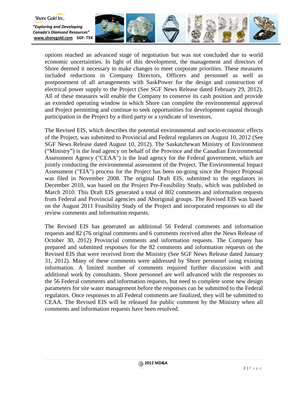

options reached an advanced stage of negotiation but was not concluded due to world economic uncertainties. In light of this development, the management and directors of Shore deemed it necessary to make changes to meet corporate priorities. These measures included reductions in Company Directors, Officers and personnel as well as postponement of all arrangements with SaskPower for the design and construction of electrical power supply to the Project (See SGF News Release dated February 29, 2012). All of these measures will enable the Company to conserve its cash position and provide an extended operating window in which Shore can complete the environmental approval and Project permitting and continue to seek opportunities for development capital through participation in the Project by a third party or a syndicate of investors.

Shore Gold Inc.

The Revised EIS, which describes the potential environmental and socio-economic effects of the Project, was submitted to Provincial and Federal regulators on August 10, 2012 (See SGF News Release dated August 10, 2012). The Saskatchewan Ministry of Environment ("Ministry") is the lead agency on behalf of the Province and the Canadian Environmental Assessment Agency ("CEAA") is the lead agency for the Federal government, which are jointly conducting the environmental assessment of the Project. The Environmental Impact Assessment ("EIA") process for the Project has been on-going since the Project Proposal was filed in November 2008. The original Draft EIS, submitted to the regulators in December 2010, was based on the Project Pre-Feasibility Study, which was published in March 2010. This Draft EIS generated a total of 802 comments and information requests from Federal and Provincial agencies and Aboriginal groups. The Revised EIS was based on the August 2011 Feasibility Study of the Project and incorporated responses to all the review comments and information requests.

The Revised EIS has generated an additional 56 Federal comments and information requests and 82 (76 original comments and 6 comments received after the News Release of October 30, 2012) Provincial comments and information requests. The Company has prepared and submitted responses for the 82 comments and information requests on the Revised EIS that were received from the Ministry (See SGF News Release dated January 31, 2012). Many of these comments were addressed by Shore personnel using existing information. A limited number of comments required further discussion with and additional work by consultants. Shore personnel are well advanced with the responses to the 56 Federal comments and information requests, but need to complete some new design parameters for site water management before the responses can be submitted to the Federal regulators. Once responses to all Federal comments are finalized, they will be submitted to CEAA. The Revised EIS will be released for public comment by the Ministry when all comments and information requests have been resolved.

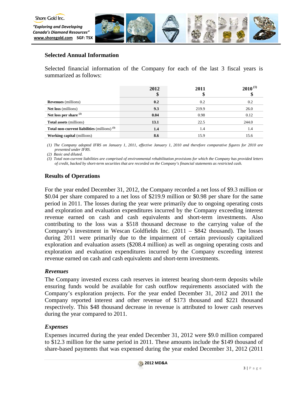

## **Selected Annual Information**

Selected financial information of the Company for each of the last 3 fiscal years is summarized as follows:

|                                                | 2012<br>\$ | 2011  | $2010^{(1)}$ |
|------------------------------------------------|------------|-------|--------------|
| <b>Revenues</b> (millions)                     | 0.2        | 0.2   | 0.2          |
| <b>Net loss</b> (millions)                     | 9.3        | 219.9 | 26.0         |
| Net loss per share $(2)$                       | 0.04       | 0.98  | 0.12         |
| <b>Total assets (millions)</b>                 | 13.1       | 22.5  | 244.0        |
| Total non-current liabilities (millions) $(3)$ | 1.4        | 1.4   | 1.4          |
| <b>Working capital</b> (millions)              | 8.6        | 15.9  | 15.6         |

*(1) The Company adopted IFRS on January 1, 2011, effective January 1, 2010 and therefore comparative figures for 2010 are presented under IFRS.*

*(2) Basic and diluted.*

*(3) Total non-current liabilities are comprised of environmental rehabilitation provisions for which the Company has provided letters of credit, backed by short-term securities that are recorded on the Company's financial statements as restricted cash.*

## **Results of Operations**

For the year ended December 31, 2012, the Company recorded a net loss of \$9.3 million or \$0.04 per share compared to a net loss of \$219.9 million or \$0.98 per share for the same period in 2011. The losses during the year were primarily due to ongoing operating costs and exploration and evaluation expenditures incurred by the Company exceeding interest revenue earned on cash and cash equivalents and short-term investments. Also contributing to the loss was a \$518 thousand decrease to the carrying value of the Company's investment in Wescan Goldfields Inc. (2011 – \$842 thousand). The losses during 2011 were primarily due to the impairment of certain previously capitalized exploration and evaluation assets (\$208.4 million) as well as ongoing operating costs and exploration and evaluation expenditures incurred by the Company exceeding interest revenue earned on cash and cash equivalents and short-term investments.

## *Revenues*

The Company invested excess cash reserves in interest bearing short-term deposits while ensuring funds would be available for cash outflow requirements associated with the Company's exploration projects. For the year ended December 31, 2012 and 2011 the Company reported interest and other revenue of \$173 thousand and \$221 thousand respectively. This \$48 thousand decrease in revenue is attributed to lower cash reserves during the year compared to 2011.

## *Expenses*

Expenses incurred during the year ended December 31, 2012 were \$9.0 million compared to \$12.3 million for the same period in 2011. These amounts include the \$149 thousand of share-based payments that was expensed during the year ended December 31, 2012 (2011

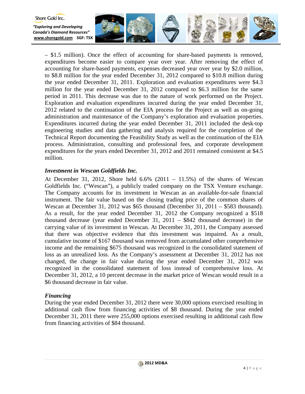

– \$1.5 million). Once the effect of accounting for share-based payments is removed, expenditures become easier to compare year over year. After removing the effect of accounting for share-based payments, expenses decreased year over year by \$2.0 million, to \$8.8 million for the year ended December 31, 2012 compared to \$10.8 million during the year ended December 31, 2011. Exploration and evaluation expenditures were \$4.3 million for the year ended December 31, 2012 compared to \$6.3 million for the same period in 2011. This decrease was due to the nature of work performed on the Project. Exploration and evaluation expenditures incurred during the year ended December 31, 2012 related to the continuation of the EIA process for the Project as well as on-going administration and maintenance of the Company's exploration and evaluation properties. Expenditures incurred during the year ended December 31, 2011 included the desk-top engineering studies and data gathering and analysis required for the completion of the Technical Report documenting the Feasibility Study as well as the continuation of the EIA process. Administration, consulting and professional fees, and corporate development expenditures for the years ended December 31, 2012 and 2011 remained consistent at \$4.5 million.

## *Investment in Wescan Goldfields Inc.*

At December 31, 2012, Shore held  $6.6\%$  (2011 – 11.5%) of the shares of Wescan Goldfields Inc. ("Wescan"), a publicly traded company on the TSX Venture exchange. The Company accounts for its investment in Wescan as an available-for-sale financial instrument. The fair value based on the closing trading price of the common shares of Wescan at December 31, 2012 was \$65 thousand (December 31, 2011 – \$583 thousand). As a result, for the year ended December 31, 2012 the Company recognized a \$518 thousand decrease (year ended December 31, 2011 – \$842 thousand decrease) in the carrying value of its investment in Wescan. At December 31, 2011, the Company assessed that there was objective evidence that this investment was impaired. As a result, cumulative income of \$167 thousand was removed from accumulated other comprehensive income and the remaining \$675 thousand was recognized in the consolidated statement of loss as an unrealized loss. As the Company's assessment at December 31, 2012 has not changed, the change in fair value during the year ended December 31, 2012 was recognized in the consolidated statement of loss instead of comprehensive loss. At December 31, 2012, a 10 percent decrease in the market price of Wescan would result in a \$6 thousand decrease in fair value.

## *Financing*

During the year ended December 31, 2012 there were 30,000 options exercised resulting in additional cash flow from financing activities of \$8 thousand. During the year ended December 31, 2011 there were 255,000 options exercised resulting in additional cash flow from financing activities of \$84 thousand.

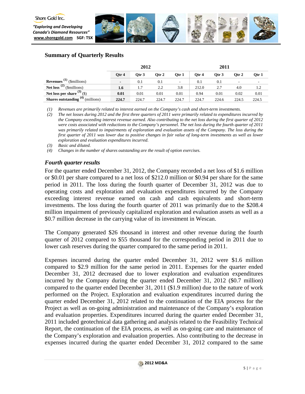



## **Summary of Quarterly Results**

|                                             | 2012                     |         |       | 2011                     |       |         |         |       |
|---------------------------------------------|--------------------------|---------|-------|--------------------------|-------|---------|---------|-------|
|                                             | Qtr 4                    | Otr $3$ | Otr 2 | Qtr 1                    | Otr 4 | Otr $3$ | Otr $2$ | Otr 1 |
| <b>Revenues</b> <sup>(1)</sup> (\$millions) | $\overline{\phantom{0}}$ | 0.1     | 0.1   | $\overline{\phantom{a}}$ | 0.1   | 0.1     |         |       |
| Net loss <sup>(2)</sup> (\$millions)        | 1.6                      | 1.7     | 2.2   | 3.8                      | 212.0 | 2.7     | 4.0     | 1.2   |
| Net loss per share $(3)$ (\$)               | 0.01                     | 0.01    | 0.01  | 0.01                     | 0.94  | 0.01    | 0.02    | 0.01  |
| <b>Shares outstanding</b> $(4)$ (millions)  | 224.7                    | 224.7   | 224.7 | 224.7                    | 224.7 | 224.6   | 224.5   | 224.5 |

*(1) Revenues are primarily related to interest earned on the Company's cash and short-term investments.* 

*(2) The net losses during 2012 and the first three quarters of 2011 were primarily related to expenditures incurred by the Company exceeding interest revenue earned. Also contributing to the net loss during the first quarter of 2012 were costs associated with reductions to the Company's personnel. The net loss during the fourth quarter of 2011 was primarily related to impairments of exploration and evaluation assets of the Company. The loss during the first quarter of 2011 was lower due to positive changes in fair value of long-term investments as well as lower exploration and evaluation expenditures incurred.* 

*(3) Basic and diluted.*

*(4) Changes in the number of shares outstanding are the result of option exercises.* 

## *Fourth quarter results*

For the quarter ended December 31, 2012, the Company recorded a net loss of \$1.6 million or \$0.01 per share compared to a net loss of \$212.0 million or \$0.94 per share for the same period in 2011. The loss during the fourth quarter of December 31, 2012 was due to operating costs and exploration and evaluation expenditures incurred by the Company exceeding interest revenue earned on cash and cash equivalents and short-term investments. The loss during the fourth quarter of 2011 was primarily due to the \$208.4 million impairment of previously capitalized exploration and evaluation assets as well as a \$0.7 million decrease in the carrying value of its investment in Wescan.

The Company generated \$26 thousand in interest and other revenue during the fourth quarter of 2012 compared to \$55 thousand for the corresponding period in 2011 due to lower cash reserves during the quarter compared to the same period in 2011.

Expenses incurred during the quarter ended December 31, 2012 were \$1.6 million compared to \$2.9 million for the same period in 2011. Expenses for the quarter ended December 31, 2012 decreased due to lower exploration and evaluation expenditures incurred by the Company during the quarter ended December 31, 2012 (\$0.7 million) compared to the quarter ended December 31, 2011 (\$1.9 million) due to the nature of work performed on the Project. Exploration and evaluation expenditures incurred during the quarter ended December 31, 2012 related to the continuation of the EIA process for the Project as well as on-going administration and maintenance of the Company's exploration and evaluation properties. Expenditures incurred during the quarter ended December 31, 2011 included geotechnical data gathering and analysis related to the Feasibility Technical Report, the continuation of the EIA process, as well as on-going care and maintenance of the Company's exploration and evaluation properties. Also contributing to the decrease in expenses incurred during the quarter ended December 31, 2012 compared to the same

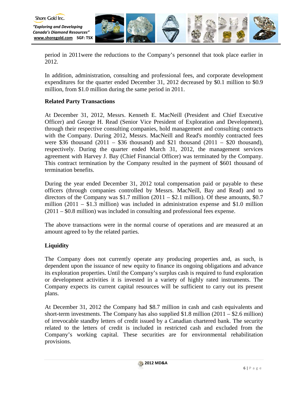



period in 2011were the reductions to the Company's personnel that took place earlier in 2012.

In addition, administration, consulting and professional fees, and corporate development expenditures for the quarter ended December 31, 2012 decreased by \$0.1 million to \$0.9 million, from \$1.0 million during the same period in 2011.

## **Related Party Transactions**

At December 31, 2012, Messrs. Kenneth E. MacNeill (President and Chief Executive Officer) and George H. Read (Senior Vice President of Exploration and Development), through their respective consulting companies, hold management and consulting contracts with the Company. During 2012, Messrs. MacNeill and Read's monthly contracted fees were \$36 thousand  $(2011 - $36$  thousand) and \$21 thousand  $(2011 - $20$  thousand), respectively. During the quarter ended March 31, 2012, the management services agreement with Harvey J. Bay (Chief Financial Officer) was terminated by the Company. This contract termination by the Company resulted in the payment of \$601 thousand of termination benefits.

During the year ended December 31, 2012 total compensation paid or payable to these officers (through companies controlled by Messrs. MacNeill, Bay and Read) and to directors of the Company was \$1.7 million  $(2011 - $2.1$  million). Of these amounts, \$0.7 million  $(2011 - $1.3$  million) was included in administration expense and \$1.0 million (2011 – \$0.8 million) was included in consulting and professional fees expense.

The above transactions were in the normal course of operations and are measured at an amount agreed to by the related parties.

## **Liquidity**

The Company does not currently operate any producing properties and, as such, is dependent upon the issuance of new equity to finance its ongoing obligations and advance its exploration properties. Until the Company's surplus cash is required to fund exploration or development activities it is invested in a variety of highly rated instruments. The Company expects its current capital resources will be sufficient to carry out its present plans.

At December 31, 2012 the Company had \$8.7 million in cash and cash equivalents and short-term investments. The Company has also supplied  $$1.8$  million  $(2011 - $2.6$  million) of irrevocable standby letters of credit issued by a Canadian chartered bank. The security related to the letters of credit is included in restricted cash and excluded from the Company's working capital. These securities are for environmental rehabilitation provisions.

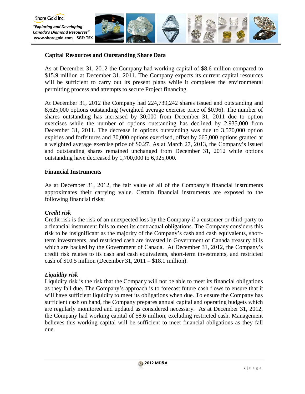

## **Capital Resources and Outstanding Share Data**

As at December 31, 2012 the Company had working capital of \$8.6 million compared to \$15.9 million at December 31, 2011. The Company expects its current capital resources will be sufficient to carry out its present plans while it completes the environmental permitting process and attempts to secure Project financing.

At December 31, 2012 the Company had 224,739,242 shares issued and outstanding and 8,625,000 options outstanding (weighted average exercise price of \$0.96). The number of shares outstanding has increased by 30,000 from December 31, 2011 due to option exercises while the number of options outstanding has declined by 2,935,000 from December 31, 2011. The decrease in options outstanding was due to 3,570,000 option expiries and forfeitures and 30,000 options exercised, offset by 665,000 options granted at a weighted average exercise price of \$0.27. As at March 27, 2013, the Company's issued and outstanding shares remained unchanged from December 31, 2012 while options outstanding have decreased by 1,700,000 to 6,925,000.

## **Financial Instruments**

As at December 31, 2012, the fair value of all of the Company's financial instruments approximates their carrying value. Certain financial instruments are exposed to the following financial risks:

## *Credit risk*

Credit risk is the risk of an unexpected loss by the Company if a customer or third-party to a financial instrument fails to meet its contractual obligations. The Company considers this risk to be insignificant as the majority of the Company's cash and cash equivalents, shortterm investments, and restricted cash are invested in Government of Canada treasury bills which are backed by the Government of Canada. At December 31, 2012, the Company's credit risk relates to its cash and cash equivalents, short-term investments, and restricted cash of  $$10.5$  million (December 31, 2011 –  $$18.1$  million).

## *Liquidity risk*

Liquidity risk is the risk that the Company will not be able to meet its financial obligations as they fall due. The Company's approach is to forecast future cash flows to ensure that it will have sufficient liquidity to meet its obligations when due. To ensure the Company has sufficient cash on hand, the Company prepares annual capital and operating budgets which are regularly monitored and updated as considered necessary. As at December 31, 2012, the Company had working capital of \$8.6 million, excluding restricted cash. Management believes this working capital will be sufficient to meet financial obligations as they fall due.

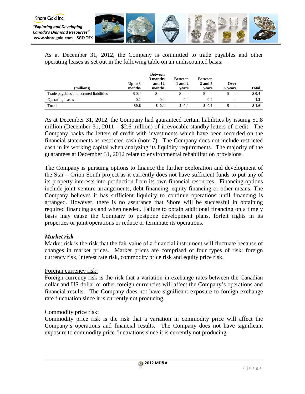

As at December 31, 2012, the Company is committed to trade payables and other operating leases as set out in the following table on an undiscounted basis:

|                                        | Up to $3$ | <b>Between</b><br>3 months<br>and 12 | <b>Between</b><br>1 and 2     | <b>Between</b><br>2 and 5 | Over                     |              |
|----------------------------------------|-----------|--------------------------------------|-------------------------------|---------------------------|--------------------------|--------------|
| (millions)                             | months    | months                               | vears                         | vears                     | 5 years                  | <b>Total</b> |
| Trade payables and accrued liabilities | \$ 0.4    | \$<br>$\overline{\phantom{a}}$       | S<br>$\overline{\phantom{a}}$ | $\overline{\phantom{a}}$  | $\overline{\phantom{a}}$ | \$0.4        |
| <b>Operating leases</b>                | 0.2       | 0.4                                  | 0.4                           | 0.2                       | ۰                        | $1.2\,$      |
| <b>Total</b>                           | \$0.6     | \$0.4                                | \$0.4                         | \$0.2                     | $\blacksquare$           | \$1.6        |

As at December 31, 2012, the Company had guaranteed certain liabilities by issuing \$1.8 million (December 31, 2011 – \$2.6 million) of irrevocable standby letters of credit. The Company backs the letters of credit with investments which have been recorded on the financial statements as restricted cash (note 7). The Company does not include restricted cash in its working capital when analyzing its liquidity requirements. The majority of the guarantees at December 31, 2012 relate to environmental rehabilitation provisions.

The Company is pursuing options to finance the further exploration and development of the Star – Orion South project as it currently does not have sufficient funds to put any of its property interests into production from its own financial resources. Financing options include joint venture arrangements, debt financing, equity financing or other means. The Company believes it has sufficient liquidity to continue operations until financing is arranged. However, there is no assurance that Shore will be successful in obtaining required financing as and when needed. Failure to obtain additional financing on a timely basis may cause the Company to postpone development plans, forfeit rights in its properties or joint operations or reduce or terminate its operations.

## *Market risk*

Market risk is the risk that the fair value of a financial instrument will fluctuate because of changes in market prices. Market prices are comprised of four types of risk: foreign currency risk, interest rate risk, commodity price risk and equity price risk.

## Foreign currency risk:

Foreign currency risk is the risk that a variation in exchange rates between the Canadian dollar and US dollar or other foreign currencies will affect the Company's operations and financial results. The Company does not have significant exposure to foreign exchange rate fluctuation since it is currently not producing.

## Commodity price risk:

Commodity price risk is the risk that a variation in commodity price will affect the Company's operations and financial results. The Company does not have significant exposure to commodity price fluctuations since it is currently not producing.

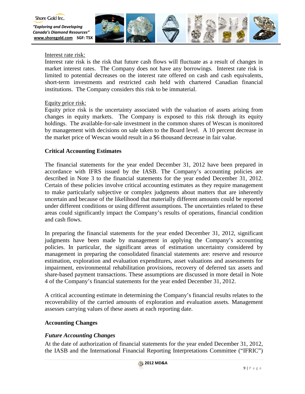

*"Exploring and Developing Canada's Diamond Resources"* **[www.shoregold.com](http://www.shoregold.comm/) SGF: TSX** 



Interest rate risk:

Interest rate risk is the risk that future cash flows will fluctuate as a result of changes in market interest rates. The Company does not have any borrowings. Interest rate risk is limited to potential decreases on the interest rate offered on cash and cash equivalents, short-term investments and restricted cash held with chartered Canadian financial institutions. The Company considers this risk to be immaterial.

## Equity price risk:

Equity price risk is the uncertainty associated with the valuation of assets arising from changes in equity markets. The Company is exposed to this risk through its equity holdings. The available-for-sale investment in the common shares of Wescan is monitored by management with decisions on sale taken to the Board level. A 10 percent decrease in the market price of Wescan would result in a \$6 thousand decrease in fair value.

## **Critical Accounting Estimates**

The financial statements for the year ended December 31, 2012 have been prepared in accordance with IFRS issued by the IASB. The Company's accounting policies are described in Note 3 to the financial statements for the year ended December 31, 2012. Certain of these policies involve critical accounting estimates as they require management to make particularly subjective or complex judgments about matters that are inherently uncertain and because of the likelihood that materially different amounts could be reported under different conditions or using different assumptions. The uncertainties related to these areas could significantly impact the Company's results of operations, financial condition and cash flows.

In preparing the financial statements for the year ended December 31, 2012, significant judgments have been made by management in applying the Company's accounting policies. In particular, the significant areas of estimation uncertainty considered by management in preparing the consolidated financial statements are: reserve and resource estimation, exploration and evaluation expenditures, asset valuations and assessments for impairment, environmental rehabilitation provisions, recovery of deferred tax assets and share-based payment transactions. These assumptions are discussed in more detail in Note 4 of the Company's financial statements for the year ended December 31, 2012.

A critical accounting estimate in determining the Company's financial results relates to the recoverability of the carried amounts of exploration and evaluation assets. Management assesses carrying values of these assets at each reporting date.

## **Accounting Changes**

## *Future Accounting Changes*

At the date of authorization of financial statements for the year ended December 31, 2012, the IASB and the International Financial Reporting Interpretations Committee ("IFRIC")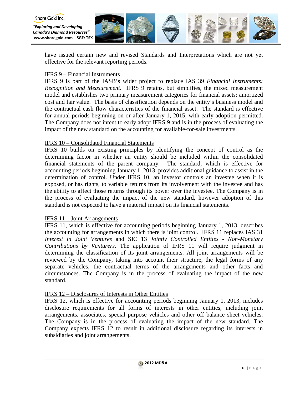

have issued certain new and revised Standards and Interpretations which are not yet effective for the relevant reporting periods.

## IFRS 9 – Financial Instruments

IFRS 9 is part of the IASB's wider project to replace IAS 39 *Financial Instruments: Recognition and Measurement*. IFRS 9 retains, but simplifies, the mixed measurement model and establishes two primary measurement categories for financial assets: amortized cost and fair value. The basis of classification depends on the entity's business model and the contractual cash flow characteristics of the financial asset. The standard is effective for annual periods beginning on or after January 1, 2015, with early adoption permitted. The Company does not intent to early adopt IFRS 9 and is in the process of evaluating the impact of the new standard on the accounting for available-for-sale investments.

## IFRS 10 – Consolidated Financial Statements

IFRS 10 builds on existing principles by identifying the concept of control as the determining factor in whether an entity should be included within the consolidated financial statements of the parent company. The standard, which is effective for accounting periods beginning January 1, 2013, provides additional guidance to assist in the determination of control. Under IFRS 10, an investor controls an investee when it is exposed, or has rights, to variable returns from its involvement with the investee and has the ability to affect those returns through its power over the investee. The Company is in the process of evaluating the impact of the new standard, however adoption of this standard is not expected to have a material impact on its financial statements.

## IFRS 11 – Joint Arrangements

IFRS 11, which is effective for accounting periods beginning January 1, 2013, describes the accounting for arrangements in which there is joint control. IFRS 11 replaces IAS 31 *Interest in Joint Ventures* and SIC 13 *Jointly Controlled Entities - Non-Monetary Contributions by Venturers*. The application of IFRS 11 will require judgment in determining the classification of its joint arrangements. All joint arrangements will be reviewed by the Company, taking into account their structure, the legal forms of any separate vehicles, the contractual terms of the arrangements and other facts and circumstances. The Company is in the process of evaluating the impact of the new standard.

## IFRS 12 – Disclosures of Interests in Other Entities

IFRS 12, which is effective for accounting periods beginning January 1, 2013, includes disclosure requirements for all forms of interests in other entities, including joint arrangements, associates, special purpose vehicles and other off balance sheet vehicles. The Company is in the process of evaluating the impact of the new standard. The Company expects IFRS 12 to result in additional disclosure regarding its interests in subsidiaries and joint arrangements.

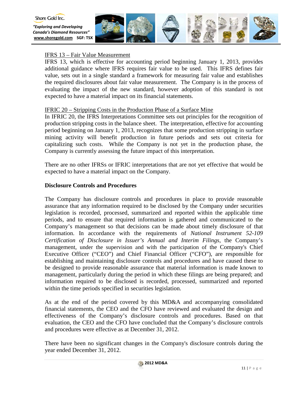



## IFRS 13 – Fair Value Measurement

IFRS 13, which is effective for accounting period beginning January 1, 2013, provides additional guidance where IFRS requires fair value to be used. This IFRS defines fair value, sets out in a single standard a framework for measuring fair value and establishes the required disclosures about fair value measurement. The Company is in the process of evaluating the impact of the new standard, however adoption of this standard is not expected to have a material impact on its financial statements.

## IFRIC 20 – Stripping Costs in the Production Phase of a Surface Mine

In IFRIC 20, the IFRS Interpretations Committee sets out principles for the recognition of production stripping costs in the balance sheet. The interpretation, effective for accounting period beginning on January 1, 2013, recognizes that some production stripping in surface mining activity will benefit production in future periods and sets out criteria for capitalizing such costs. While the Company is not yet in the production phase, the Company is currently assessing the future impact of this interpretation.

There are no other IFRSs or IFRIC interpretations that are not yet effective that would be expected to have a material impact on the Company.

### **Disclosure Controls and Procedures**

The Company has disclosure controls and procedures in place to provide reasonable assurance that any information required to be disclosed by the Company under securities legislation is recorded, processed, summarized and reported within the applicable time periods, and to ensure that required information is gathered and communicated to the Company's management so that decisions can be made about timely disclosure of that information. In accordance with the requirements of *National Instrument 52-109 Certification of Disclosure in Issuer's Annual and Interim Filings*, the Company's management, under the supervision and with the participation of the Company's Chief Executive Officer ("CEO") and Chief Financial Officer ("CFO"), are responsible for establishing and maintaining disclosure controls and procedures and have caused these to be designed to provide reasonable assurance that material information is made known to management, particularly during the period in which these filings are being prepared; and information required to be disclosed is recorded, processed, summarized and reported within the time periods specified in securities legislation.

As at the end of the period covered by this MD&A and accompanying consolidated financial statements, the CEO and the CFO have reviewed and evaluated the design and effectiveness of the Company's disclosure controls and procedures. Based on that evaluation, the CEO and the CFO have concluded that the Company's disclosure controls and procedures were effective as at December 31, 2012.

There have been no significant changes in the Company's disclosure controls during the year ended December 31, 2012.

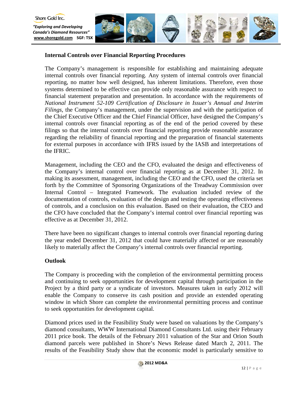

## **Internal Controls over Financial Reporting Procedures**

The Company's management is responsible for establishing and maintaining adequate internal controls over financial reporting. Any system of internal controls over financial reporting, no matter how well designed, has inherent limitations. Therefore, even those systems determined to be effective can provide only reasonable assurance with respect to financial statement preparation and presentation. In accordance with the requirements of *National Instrument 52-109 Certification of Disclosure in Issuer's Annual and Interim Filings*, the Company's management, under the supervision and with the participation of the Chief Executive Officer and the Chief Financial Officer, have designed the Company's internal controls over financial reporting as of the end of the period covered by these filings so that the internal controls over financial reporting provide reasonable assurance regarding the reliability of financial reporting and the preparation of financial statements for external purposes in accordance with IFRS issued by the IASB and interpretations of the IFRIC.

Management, including the CEO and the CFO, evaluated the design and effectiveness of the Company's internal control over financial reporting as at December 31, 2012. In making its assessment, management, including the CEO and the CFO, used the criteria set forth by the Committee of Sponsoring Organizations of the Treadway Commission over Internal Control – Integrated Framework. The evaluation included review of the documentation of controls, evaluation of the design and testing the operating effectiveness of controls, and a conclusion on this evaluation. Based on their evaluation, the CEO and the CFO have concluded that the Company's internal control over financial reporting was effective as at December 31, 2012.

There have been no significant changes to internal controls over financial reporting during the year ended December 31, 2012 that could have materially affected or are reasonably likely to materially affect the Company's internal controls over financial reporting.

## **Outlook**

The Company is proceeding with the completion of the environmental permitting process and continuing to seek opportunities for development capital through participation in the Project by a third party or a syndicate of investors. Measures taken in early 2012 will enable the Company to conserve its cash position and provide an extended operating window in which Shore can complete the environmental permitting process and continue to seek opportunities for development capital.

Diamond prices used in the Feasibility Study were based on valuations by the Company's diamond consultants, WWW International Diamond Consultants Ltd. using their February 2011 price book. The details of the February 2011 valuation of the Star and Orion South diamond parcels were published in Shore's News Release dated March 2, 2011. The results of the Feasibility Study show that the economic model is particularly sensitive to

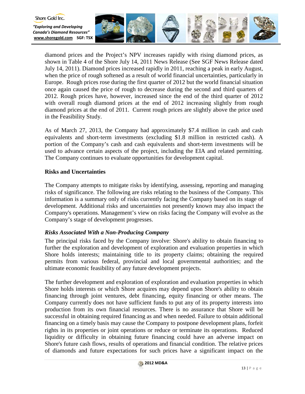



diamond prices and the Project's NPV increases rapidly with rising diamond prices, as shown in Table 4 of the Shore July 14, 2011 News Release (See SGF News Release dated July 14, 2011). Diamond prices increased rapidly in 2011, reaching a peak in early August, when the price of rough softened as a result of world financial uncertainties, particularly in Europe. Rough prices rose during the first quarter of 2012 but the world financial situation once again caused the price of rough to decrease during the second and third quarters of 2012. Rough prices have, however, increased since the end of the third quarter of 2012 with overall rough diamond prices at the end of 2012 increasing slightly from rough diamond prices at the end of 2011. Current rough prices are slightly above the price used in the Feasibility Study.

As of March 27, 2013, the Company had approximately \$7.4 million in cash and cash equivalents and short-term investments (excluding \$1.8 million in restricted cash). A portion of the Company's cash and cash equivalents and short-term investments will be used to advance certain aspects of the project, including the EIA and related permitting. The Company continues to evaluate opportunities for development capital.

## **Risks and Uncertainties**

The Company attempts to mitigate risks by identifying, assessing, reporting and managing risks of significance. The following are risks relating to the business of the Company. This information is a summary only of risks currently facing the Company based on its stage of development. Additional risks and uncertainties not presently known may also impact the Company's operations. Management's view on risks facing the Company will evolve as the Company's stage of development progresses.

## *Risks Associated With a Non-Producing Company*

The principal risks faced by the Company involve: Shore's ability to obtain financing to further the exploration and development of exploration and evaluation properties in which Shore holds interests; maintaining title to its property claims; obtaining the required permits from various federal, provincial and local governmental authorities; and the ultimate economic feasibility of any future development projects.

The further development and exploration of exploration and evaluation properties in which Shore holds interests or which Shore acquires may depend upon Shore's ability to obtain financing through joint ventures, debt financing, equity financing or other means. The Company currently does not have sufficient funds to put any of its property interests into production from its own financial resources. There is no assurance that Shore will be successful in obtaining required financing as and when needed. Failure to obtain additional financing on a timely basis may cause the Company to postpone development plans, forfeit rights in its properties or joint operations or reduce or terminate its operations. Reduced liquidity or difficulty in obtaining future financing could have an adverse impact on Shore's future cash flows, results of operations and financial condition. The relative prices of diamonds and future expectations for such prices have a significant impact on the

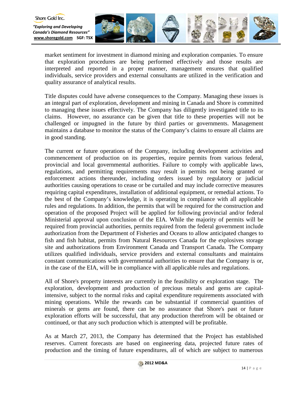

market sentiment for investment in diamond mining and exploration companies. To ensure that exploration procedures are being performed effectively and those results are interpreted and reported in a proper manner, management ensures that qualified individuals, service providers and external consultants are utilized in the verification and quality assurance of analytical results.

Shore Gold Inc.

Title disputes could have adverse consequences to the Company. Managing these issues is an integral part of exploration, development and mining in Canada and Shore is committed to managing these issues effectively. The Company has diligently investigated title to its claims. However, no assurance can be given that title to these properties will not be challenged or impugned in the future by third parties or governments. Management maintains a database to monitor the status of the Company's claims to ensure all claims are in good standing.

The current or future operations of the Company, including development activities and commencement of production on its properties, require permits from various federal, provincial and local governmental authorities. Failure to comply with applicable laws, regulations, and permitting requirements may result in permits not being granted or enforcement actions thereunder, including orders issued by regulatory or judicial authorities causing operations to cease or be curtailed and may include corrective measures requiring capital expenditures, installation of additional equipment, or remedial actions. To the best of the Company's knowledge, it is operating in compliance with all applicable rules and regulations. In addition, the permits that will be required for the construction and operation of the proposed Project will be applied for following provincial and/or federal Ministerial approval upon conclusion of the EIA. While the majority of permits will be required from provincial authorities, permits required from the federal government include authorization from the Department of Fisheries and Oceans to allow anticipated changes to fish and fish habitat, permits from Natural Resources Canada for the explosives storage site and authorizations from Environment Canada and Transport Canada. The Company utilizes qualified individuals, service providers and external consultants and maintains constant communications with governmental authorities to ensure that the Company is or, in the case of the EIA, will be in compliance with all applicable rules and regulations.

All of Shore's property interests are currently in the feasibility or exploration stage. The exploration, development and production of precious metals and gems are capitalintensive, subject to the normal risks and capital expenditure requirements associated with mining operations. While the rewards can be substantial if commercial quantities of minerals or gems are found, there can be no assurance that Shore's past or future exploration efforts will be successful, that any production therefrom will be obtained or continued, or that any such production which is attempted will be profitable.

As at March 27, 2013, the Company has determined that the Project has established reserves. Current forecasts are based on engineering data, projected future rates of production and the timing of future expenditures, all of which are subject to numerous

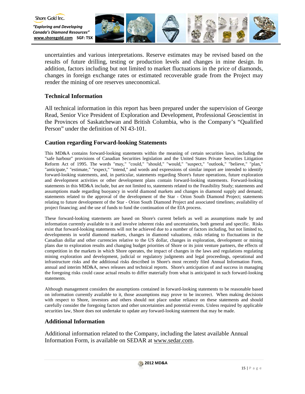

uncertainties and various interpretations. Reserve estimates may be revised based on the results of future drilling, testing or production levels and changes in mine design. In addition, factors including but not limited to market fluctuations in the price of diamonds, changes in foreign exchange rates or estimated recoverable grade from the Project may render the mining of ore reserves uneconomical.

## **Technical Information**

All technical information in this report has been prepared under the supervision of George Read, Senior Vice President of Exploration and Development, Professional Geoscientist in the Provinces of Saskatchewan and British Columbia, who is the Company's "Qualified Person" under the definition of NI 43-101.

## **Caution regarding Forward-looking Statements**

This MD&A contains forward-looking statements within the meaning of certain securities laws, including the "safe harbour" provisions of Canadian Securities legislation and the United States Private Securities Litigation Reform Act of 1995. The words "may," "could," "should," "would," "suspect," "outlook," "believe," "plan," "anticipate," "estimate," "expect," "intend," and words and expressions of similar import are intended to identify forward-looking statements, and, in particular, statements regarding Shore's future operations, future exploration and development activities or other development plans contain forward-looking statements. Forward-looking statements in this MD&A include, but are not limited to, statements related to the Feasibility Study; statements and assumptions made regarding buoyancy in world diamond markets and changes in diamond supply and demand; statements related to the approval of the development of the Star - Orion South Diamond Project; statements relating to future development of the Star - Orion South Diamond Project and associated timelines; availability of project financing; and the use of funds to fund the continuation of the EIA process.

These forward-looking statements are based on Shore's current beliefs as well as assumptions made by and information currently available to it and involve inherent risks and uncertainties, both general and specific. Risks exist that forward-looking statements will not be achieved due to a number of factors including, but not limited to, developments in world diamond markets, changes in diamond valuations, risks relating to fluctuations in the Canadian dollar and other currencies relative to the US dollar, changes in exploration, development or mining plans due to exploration results and changing budget priorities of Shore or its joint venture partners, the effects of competition in the markets in which Shore operates, the impact of changes in the laws and regulations regulating mining exploration and development, judicial or regulatory judgments and legal proceedings, operational and infrastructure risks and the additional risks described in Shore's most recently filed Annual Information Form, annual and interim MD&A, news releases and technical reports. Shore's anticipation of and success in managing the foregoing risks could cause actual results to differ materially from what is anticipated in such forward-looking statements.

Although management considers the assumptions contained in forward-looking statements to be reasonable based on information currently available to it, those assumptions may prove to be incorrect. When making decisions with respect to Shore, investors and others should not place undue reliance on these statements and should carefully consider the foregoing factors and other uncertainties and potential events. Unless required by applicable securities law, Shore does not undertake to update any forward-looking statement that may be made.

## **Additional Information**

Additional information related to the Company, including the latest available Annual Information Form, is available on SEDAR at www.sedar.com.

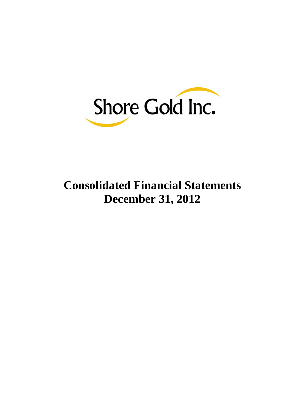

# **Consolidated Financial Statements December 31, 2012**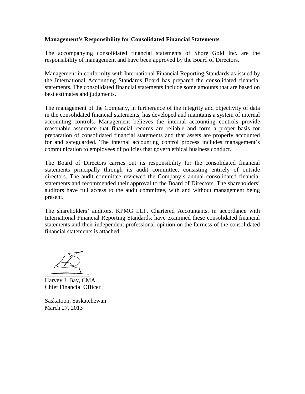## **Management's Responsibility for Consolidated Financial Statements**

The accompanying consolidated financial statements of Shore Gold Inc. are the responsibility of management and have been approved by the Board of Directors.

Management in conformity with International Financial Reporting Standards as issued by the International Accounting Standards Board has prepared the consolidated financial statements. The consolidated financial statements include some amounts that are based on best estimates and judgments.

The management of the Company, in furtherance of the integrity and objectivity of data in the consolidated financial statements, has developed and maintains a system of internal accounting controls. Management believes the internal accounting controls provide reasonable assurance that financial records are reliable and form a proper basis for preparation of consolidated financial statements and that assets are properly accounted for and safeguarded. The internal accounting control process includes management's communication to employees of policies that govern ethical business conduct.

The Board of Directors carries out its responsibility for the consolidated financial statements principally through its audit committee, consisting entirely of outside directors. The audit committee reviewed the Company's annual consolidated financial statements and recommended their approval to the Board of Directors. The shareholders' auditors have full access to the audit committee, with and without management being present.

The shareholders' auditors, KPMG LLP, Chartered Accountants, in accordance with International Financial Reporting Standards, have examined these consolidated financial statements and their independent professional opinion on the fairness of the consolidated financial statements is attached.

Harvey J. Bay, CMA Chief Financial Officer

Saskatoon, Saskatchewan March 27, 2013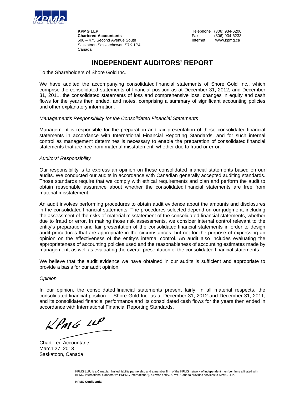

**KPMG LLP**<br> **Chartered Accountants**<br>
Chartered Accountants<br>
Tex (306) 934-6233 **Chartered Accountants Chartered Accountants Fax** (306) 934-6233<br>
500 - 475 Second Avenue South **Chartes Internet Example 2018** 500 – 475 Second Avenue South Saskatoon Saskatchewan S7K 1P4 Canada

## **INDEPENDENT AUDITORS' REPORT**

To the Shareholders of Shore Gold Inc.

We have audited the accompanying consolidated financial statements of Shore Gold Inc., which comprise the consolidated statements of financial position as at December 31, 2012, and December 31, 2011, the consolidated statements of loss and comprehensive loss, changes in equity and cash flows for the years then ended, and notes, comprising a summary of significant accounting policies and other explanatory information.

#### *Management's Responsibility for the Consolidated Financial Statements*

Management is responsible for the preparation and fair presentation of these consolidated financial statements in accordance with International Financial Reporting Standards, and for such internal control as management determines is necessary to enable the preparation of consolidated financial statements that are free from material misstatement, whether due to fraud or error.

#### *Auditors' Responsibility*

Our responsibility is to express an opinion on these consolidated financial statements based on our audits. We conducted our audits in accordance with Canadian generally accepted auditing standards. Those standards require that we comply with ethical requirements and plan and perform the audit to obtain reasonable assurance about whether the consolidated financial statements are free from material misstatement.

An audit involves performing procedures to obtain audit evidence about the amounts and disclosures in the consolidated financial statements. The procedures selected depend on our judgment, including the assessment of the risks of material misstatement of the consolidated financial statements, whether due to fraud or error. In making those risk assessments, we consider internal control relevant to the entity's preparation and fair presentation of the consolidated financial statements in order to design audit procedures that are appropriate in the circumstances, but not for the purpose of expressing an opinion on the effectiveness of the entity's internal control. An audit also includes evaluating the appropriateness of accounting policies used and the reasonableness of accounting estimates made by management, as well as evaluating the overall presentation of the consolidated financial statements.

We believe that the audit evidence we have obtained in our audits is sufficient and appropriate to provide a basis for our audit opinion.

#### *Opinion*

In our opinion, the consolidated financial statements present fairly, in all material respects, the consolidated financial position of Shore Gold Inc. as at December 31, 2012 and December 31, 2011, and its consolidated financial performance and its consolidated cash flows for the years then ended in accordance with International Financial Reporting Standards.

 $kPMS$  11P

Chartered Accountants March 27, 2013 Saskatoon, Canada

KPMG LLP, is a Canadian limited liability partnership and a member firm of the KPMG network of independent member firms affiliated with KPMG International Cooperative ("KPMG International"), a Swiss entity. KPMG Canada provides services to KPMG LLP.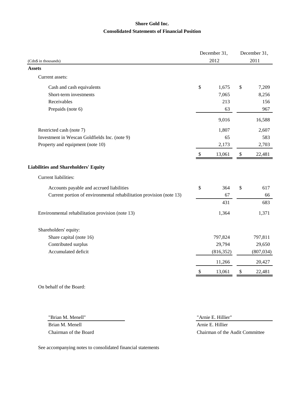## **Shore Gold Inc. Consolidated Statements of Financial Position**

|                                                                     |    | December 31, |      | December 31, |
|---------------------------------------------------------------------|----|--------------|------|--------------|
| (Cdn\$ in thousands)                                                |    | 2012         |      | 2011         |
| <b>Assets</b>                                                       |    |              |      |              |
| Current assets:                                                     |    |              |      |              |
| Cash and cash equivalents                                           | \$ | 1,675        | \$   | 7,209        |
| Short-term investments                                              |    | 7,065        |      | 8,256        |
| Receivables                                                         |    | 213          |      | 156          |
| Prepaids (note 6)                                                   |    | 63           |      | 967          |
|                                                                     |    | 9,016        |      | 16,588       |
| Restricted cash (note 7)                                            |    | 1,807        |      | 2,607        |
| Investment in Wescan Goldfields Inc. (note 9)                       |    | 65           |      | 583          |
| Property and equipment (note 10)                                    |    | 2,173        |      | 2,703        |
|                                                                     | S  | 13,061       | \$   | 22,481       |
| <b>Liabilities and Shareholders' Equity</b>                         |    |              |      |              |
| Current liabilities:                                                |    |              |      |              |
| Accounts payable and accrued liabilities                            | \$ | 364          | \$   | 617          |
| Current portion of environmental rehabilitation provision (note 13) |    | 67           |      | 66           |
|                                                                     |    | 431          |      | 683          |
| Environmental rehabilitation provision (note 13)                    |    | 1,364        |      | 1,371        |
| Shareholders' equity:                                               |    |              |      |              |
| Share capital (note 16)                                             |    | 797,824      |      | 797,811      |
| Contributed surplus                                                 |    | 29,794       |      | 29,650       |
| Accumulated deficit                                                 |    | (816, 352)   |      | (807, 034)   |
|                                                                     |    | 11,266       |      | 20,427       |
|                                                                     | S  | 13,061       | $\$$ | 22,481       |
| On behalf of the Board:                                             |    |              |      |              |

"Brian M. Menell" "Arnie E. Hillier"

Brian M. Menell **Armie E. Hillier** Chairman of the Board Chairman of the Audit Committee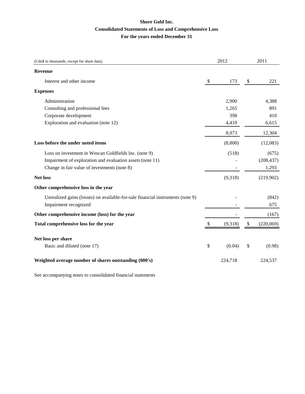## **Consolidated Statements of Loss and Comprehensive Loss For the years ended December 31 Shore Gold Inc.**

| (Cdn\$ in thousands, except for share data)                                    | 2012          | 2011            |
|--------------------------------------------------------------------------------|---------------|-----------------|
| <b>Revenue</b>                                                                 |               |                 |
| Interest and other income                                                      | \$<br>173     | \$<br>221       |
| <b>Expenses</b>                                                                |               |                 |
| Administration                                                                 | 2,900         | 4,388           |
| Consulting and professional fees                                               | 1,265         | 891             |
| Corporate development                                                          | 398           | 410             |
| Exploration and evaluation (note 12)                                           | 4,410         | 6,615           |
|                                                                                | 8,973         | 12,304          |
| Loss before the under noted items                                              | (8,800)       | (12,083)        |
| Loss on investment in Wescan Goldfields Inc. (note 9)                          | (518)         | (675)           |
| Impairment of exploration and evaluation assets (note 11)                      |               | (208, 437)      |
| Change in fair value of investments (note 8)                                   |               | 1,293           |
| <b>Net loss</b>                                                                | (9,318)       | (219,902)       |
| Other comprehensive loss in the year                                           |               |                 |
| Unrealized gains (losses) on available-for-sale financial instruments (note 9) |               | (842)           |
| Impairment recognized                                                          |               | 675             |
| Other comprehensive income (loss) for the year                                 |               | (167)           |
| Total comprehensive loss for the year                                          | \$<br>(9,318) | \$<br>(220,069) |
| Net loss per share                                                             |               |                 |
| Basic and diluted (note 17)                                                    | \$<br>(0.04)  | \$<br>(0.98)    |
|                                                                                |               |                 |
| Weighted average number of shares outstanding (000's)                          | 224,718       | 224,537         |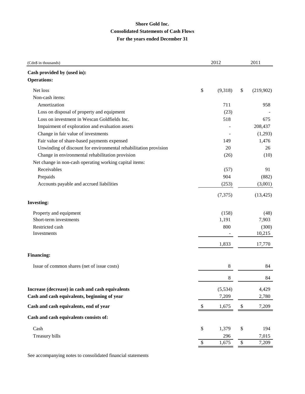## **Shore Gold Inc. Consolidated Statements of Cash Flows For the years ended December 31**

| (Cdn\$ in thousands)                                             |     | 2012     | 2011            |
|------------------------------------------------------------------|-----|----------|-----------------|
| Cash provided by (used in):                                      |     |          |                 |
| <b>Operations:</b>                                               |     |          |                 |
| Net loss                                                         | \$  | (9,318)  | \$<br>(219,902) |
| Non-cash items:                                                  |     |          |                 |
| Amortization                                                     |     | 711      | 958             |
| Loss on disposal of property and equipment                       |     | (23)     |                 |
| Loss on investment in Wescan Goldfields Inc.                     |     | 518      | 675             |
| Impairment of exploration and evaluation assets                  |     |          | 208,437         |
| Change in fair value of investments                              |     |          | (1,293)         |
| Fair value of share-based payments expensed                      |     | 149      | 1,476           |
| Unwinding of discount for environmental rehabilitation provision |     | 20       | 26              |
| Change in environmental rehabilitation provision                 |     | (26)     | (10)            |
| Net change in non-cash operating working capital items:          |     |          |                 |
| Receivables                                                      |     | (57)     | 91              |
| Prepaids                                                         |     | 904      | (882)           |
| Accounts payable and accrued liabilities                         |     | (253)    | (3,001)         |
|                                                                  |     | (7, 375) | (13, 425)       |
| <b>Investing:</b>                                                |     |          |                 |
| Property and equipment                                           |     | (158)    | (48)            |
| Short-term investments                                           |     | 1,191    | 7,903           |
| Restricted cash                                                  |     | 800      | (300)           |
| Investments                                                      |     |          | 10,215          |
|                                                                  |     | 1,833    | 17,770          |
| <b>Financing:</b>                                                |     |          |                 |
| Issue of common shares (net of issue costs)                      |     | 8        | 84              |
|                                                                  |     | 8        | 84              |
| Increase (decrease) in cash and cash equivalents                 |     | (5,534)  | 4,429           |
| Cash and cash equivalents, beginning of year                     |     | 7,209    | 2,780           |
| Cash and cash equivalents, end of year                           | -\$ | 1,675    | \$<br>7,209     |
| Cash and cash equivalents consists of:                           |     |          |                 |
| Cash                                                             | \$  | 1,379    | \$<br>194       |
| Treasury bills                                                   |     | 296      | 7,015           |
|                                                                  | \$  | 1,675    | \$<br>7,209     |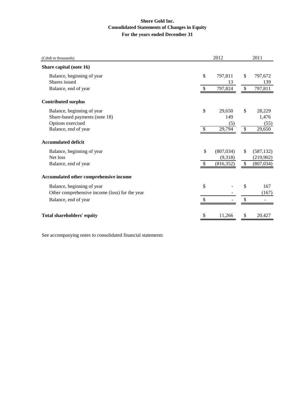### **Shore Gold Inc. Consolidated Statements of Changes in Equity For the years ended December 31**

| (Cdn\$ in thousands)                           |               | 2012          |               | 2011           |  |
|------------------------------------------------|---------------|---------------|---------------|----------------|--|
| Share capital (note 16)                        |               |               |               |                |  |
| Balance, beginning of year<br>Shares issued    | $\mathcal{S}$ | 797,811<br>13 | \$            | 797,672<br>139 |  |
| Balance, end of year                           | \$            | 797,824       | \$            | 797,811        |  |
| <b>Contributed surplus</b>                     |               |               |               |                |  |
| Balance, beginning of year                     | \$            | 29,650        | \$            | 28,229         |  |
| Share-based payments (note 18)                 |               | 149           |               | 1,476          |  |
| Options exercised                              |               | (5)           |               | (55)           |  |
| Balance, end of year                           | \$            | 29,794        | $\mathcal{S}$ | 29,650         |  |
| <b>Accumulated deficit</b>                     |               |               |               |                |  |
| Balance, beginning of year                     | \$            | (807, 034)    | \$            | (587, 132)     |  |
| Net loss                                       |               | (9,318)       |               | (219, 902)     |  |
| Balance, end of year                           | \$            | (816, 352)    | \$            | (807, 034)     |  |
| Accumulated other comprehensive income         |               |               |               |                |  |
| Balance, beginning of year                     | \$            |               | \$            | 167            |  |
| Other comprehensive income (loss) for the year |               |               |               | (167)          |  |
| Balance, end of year                           | \$            |               | \$            |                |  |
| <b>Total shareholders' equity</b>              |               | 11,266        | \$            | 20,427         |  |
|                                                |               |               |               |                |  |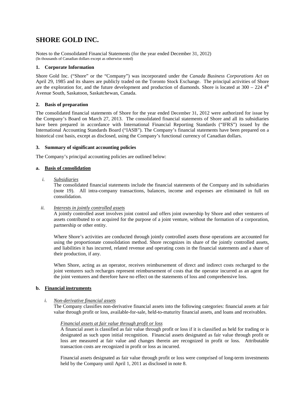## **SHORE GOLD INC.**

Notes to the Consolidated Financial Statements (for the year ended December 31, 2012) (In thousands of Canadian dollars except as otherwise noted)

#### **1. Corporate Information**

Shore Gold Inc. ("Shore" or the "Company") was incorporated under the *Canada Business Corporations Act* on April 29, 1985 and its shares are publicly traded on the Toronto Stock Exchange. The principal activities of Shore are the exploration for, and the future development and production of diamonds. Shore is located at  $300 - 224$   $4<sup>th</sup>$ Avenue South, Saskatoon, Saskatchewan, Canada.

#### **2. Basis of preparation**

The consolidated financial statements of Shore for the year ended December 31, 2012 were authorized for issue by the Company's Board on March 27, 2013. The consolidated financial statements of Shore and all its subsidiaries have been prepared in accordance with International Financial Reporting Standards ("IFRS") issued by the International Accounting Standards Board ("IASB"). The Company's financial statements have been prepared on a historical cost basis, except as disclosed, using the Company's functional currency of Canadian dollars.

#### **3. Summary of significant accounting policies**

The Company's principal accounting policies are outlined below:

#### **a. Basis of consolidation**

#### *i. Subsidiaries*

The consolidated financial statements include the financial statements of the Company and its subsidiaries (note 19). All intra-company transactions, balances, income and expenses are eliminated in full on consolidation.

#### *ii. Interests in jointly controlled assets*

A jointly controlled asset involves joint control and offers joint ownership by Shore and other venturers of assets contributed to or acquired for the purpose of a joint venture, without the formation of a corporation, partnership or other entity.

Where Shore's activities are conducted through jointly controlled assets those operations are accounted for using the proportionate consolidation method. Shore recognizes its share of the jointly controlled assets, and liabilities it has incurred, related revenue and operating costs in the financial statements and a share of their production, if any.

When Shore, acting as an operator, receives reimbursement of direct and indirect costs recharged to the joint venturers such recharges represent reimbursement of costs that the operator incurred as an agent for the joint venturers and therefore have no effect on the statements of loss and comprehensive loss.

#### **b. Financial instruments**

#### *i. Non-derivative financial assets*

The Company classifies non-derivative financial assets into the following categories: financial assets at fair value through profit or loss, available-for-sale, held-to-maturity financial assets, and loans and receivables.

#### *Financial assets at fair value through profit or loss*

A financial asset is classified as fair value through profit or loss if it is classified as held for trading or is designated as such upon initial recognition. Financial assets designated as fair value through profit or loss are measured at fair value and changes therein are recognized in profit or loss. Attributable transaction costs are recognized in profit or loss as incurred.

Financial assets designated as fair value through profit or loss were comprised of long-term investments held by the Company until April 1, 2011 as disclosed in note 8.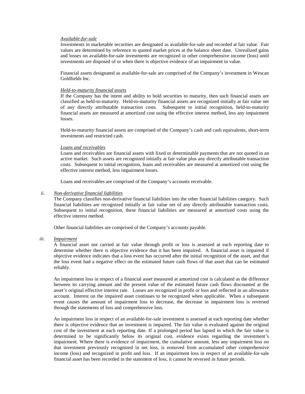#### *Available-for-sale*

Investments in marketable securities are designated as available-for-sale and recorded at fair value. Fair values are determined by reference to quoted market prices at the balance sheet date. Unrealized gains and losses on available-for-sale investments are recognized in other comprehensive income (loss) until investments are disposed of or when there is objective evidence of an impairment in value.

Financial assets designated as available-for-sale are comprised of the Company's investment in Wescan Goldfields Inc.

#### *Held-to-maturity financial assets*

If the Company has the intent and ability to hold securities to maturity, then such financial assets are classified as held-to-maturity. Held-to-maturity financial assets are recognized initially at fair value net of any directly attributable transaction costs. Subsequent to initial recognition, held-to-maturity financial assets are measured at amortized cost using the effective interest method, less any impairment losses.

Held-to-maturity financial assets are comprised of the Company's cash and cash equivalents, short-term investments and restricted cash.

#### *Loans and receivables*

Loans and receivables are financial assets with fixed or determinable payments that are not quoted in an active market. Such assets are recognized initially at fair value plus any directly attributable transaction costs. Subsequent to initial recognition, loans and receivables are measured at amortized cost using the effective interest method, less impairment losses.

Loans and receivables are comprised of the Company's accounts receivable.

#### *ii. Non-derivative financial liabilities*

The Company classifies non-derivative financial liabilities into the other financial liabilities category. Such financial liabilities are recognized initially at fair value net of any directly attributable transaction costs. Subsequent to initial recognition, these financial liabilities are measured at amortized costs using the effective interest method.

Other financial liabilities are comprised of the Company's accounts payable.

#### *iii. Impairment*

A financial asset not carried at fair value through profit or loss is assessed at each reporting date to determine whether there is objective evidence that it has been impaired. A financial asset is impaired if objective evidence indicates that a loss event has occurred after the initial recognition of the asset, and that the loss event had a negative effect on the estimated future cash flows of that asset that can be estimated reliably.

An impairment loss in respect of a financial asset measured at amortized cost is calculated as the difference between its carrying amount and the present value of the estimated future cash flows discounted at the asset's original effective interest rate. Losses are recognized in profit or loss and reflected in an allowance account. Interest on the impaired asset continues to be recognized when applicable. When a subsequent event causes the amount of impairment loss to decrease, the decrease in impairment loss is reversed through the statements of loss and comprehensive loss.

An impairment loss in respect of an available-for-sale investment is assessed at each reporting date whether there is objective evidence that an investment is impaired. The fair value is evaluated against the original cost of the investment at each reporting date. If a prolonged period has lapsed in which the fair value is determined to be significantly below its original cost, evidence exists regarding the investment's impairment. Where there is evidence of impairment, the cumulative amount, less any impairment loss on that investment previously recognized in net loss, is removed from accumulated other comprehensive income (loss) and recognized in profit and loss. If an impairment loss in respect of an available-for-sale financial asset has been recorded in the statement of loss, it cannot be reversed in future periods.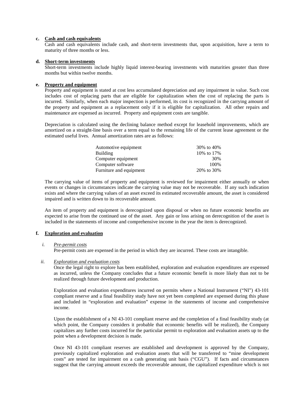#### **c. Cash and cash equivalents**

Cash and cash equivalents include cash, and short-term investments that, upon acquisition, have a term to maturity of three months or less.

#### **d. Short-term investments**

Short-term investments include highly liquid interest-bearing investments with maturities greater than three months but within twelve months.

#### **e. Property and equipment**

Property and equipment is stated at cost less accumulated depreciation and any impairment in value. Such cost includes cost of replacing parts that are eligible for capitalization when the cost of replacing the parts is incurred. Similarly, when each major inspection is performed, its cost is recognized in the carrying amount of the property and equipment as a replacement only if it is eligible for capitalization. All other repairs and maintenance are expensed as incurred. Property and equipment costs are tangible.

Depreciation is calculated using the declining balance method except for leasehold improvements, which are amortized on a straight-line basis over a term equal to the remaining life of the current lease agreement or the estimated useful lives. Annual amortization rates are as follows:

| Automotive equipment    | 30\% to 40\% |
|-------------------------|--------------|
| <b>Building</b>         | 10\% to 17\% |
| Computer equipment      | 30%          |
| Computer software       | 100%         |
| Furniture and equipment | 20\% to 30\% |

The carrying value of items of property and equipment is reviewed for impairment either annually or when events or changes in circumstances indicate the carrying value may not be recoverable. If any such indication exists and where the carrying values of an asset exceed its estimated recoverable amount, the asset is considered impaired and is written down to its recoverable amount.

An item of property and equipment is derecognized upon disposal or when no future economic benefits are expected to arise from the continued use of the asset. Any gain or loss arising on derecognition of the asset is included in the statements of income and comprehensive income in the year the item is derecognized.

#### **f. Exploration and evaluation**

#### *i. Pre-permit costs*

Pre-permit costs are expensed in the period in which they are incurred. These costs are intangible.

#### *ii. Exploration and evaluation costs*

Once the legal right to explore has been established, exploration and evaluation expenditures are expensed as incurred, unless the Company concludes that a future economic benefit is more likely than not to be realized through future development and production.

Exploration and evaluation expenditures incurred on permits where a National Instrument ("NI") 43-101 compliant reserve and a final feasibility study have not yet been completed are expensed during this phase and included in "exploration and evaluation" expense in the statements of income and comprehensive income.

Upon the establishment of a NI 43-101 compliant reserve and the completion of a final feasibility study (at which point, the Company considers it probable that economic benefits will be realized), the Company capitalizes any further costs incurred for the particular permit to exploration and evaluation assets up to the point when a development decision is made.

Once NI 43-101 compliant reserves are established and development is approved by the Company, previously capitalized exploration and evaluation assets that will be transferred to "mine development costs" are tested for impairment on a cash generating unit basis ("CGU"). If facts and circumstances suggest that the carrying amount exceeds the recoverable amount, the capitalized expenditure which is not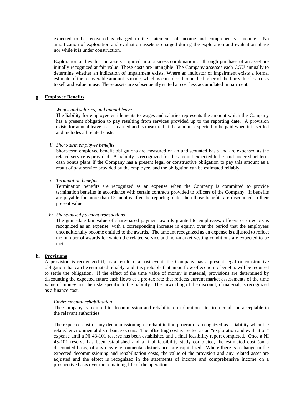expected to be recovered is charged to the statements of income and comprehensive income. No amortization of exploration and evaluation assets is charged during the exploration and evaluation phase nor while it is under construction.

Exploration and evaluation assets acquired in a business combination or through purchase of an asset are initially recognized at fair value. These costs are intangible. The Company assesses each CGU annually to determine whether an indication of impairment exists. Where an indicator of impairment exists a formal estimate of the recoverable amount is made, which is considered to be the higher of the fair value less costs to sell and value in use. These assets are subsequently stated at cost less accumulated impairment.

#### **g. Employee Benefits**

#### *i. Wages and salaries, and annual leave*

The liability for employee entitlements to wages and salaries represents the amount which the Company has a present obligation to pay resulting from services provided up to the reporting date. A provision exists for annual leave as it is earned and is measured at the amount expected to be paid when it is settled and includes all related costs.

#### *ii. Short-term employee benefits*

Short-term employee benefit obligations are measured on an undiscounted basis and are expensed as the related service is provided. A liability is recognized for the amount expected to be paid under short-term cash bonus plans if the Company has a present legal or constructive obligation to pay this amount as a result of past service provided by the employee, and the obligation can be estimated reliably.

#### *iii. Termination benefits*

Termination benefits are recognized as an expense when the Company is committed to provide termination benefits in accordance with certain contracts provided to officers of the Company. If benefits are payable for more than 12 months after the reporting date, then those benefits are discounted to their present value.

#### *iv. Share-based payment transactions*

The grant-date fair value of share-based payment awards granted to employees, officers or directors is recognized as an expense, with a corresponding increase in equity, over the period that the employees unconditionally become entitled to the awards. The amount recognized as an expense is adjusted to reflect the number of awards for which the related service and non-market vesting conditions are expected to be met.

#### **h. Provisions**

A provision is recognized if, as a result of a past event, the Company has a present legal or constructive obligation that can be estimated reliably, and it is probable that an outflow of economic benefits will be required to settle the obligation. If the effect of the time value of money is material, provisions are determined by discounting the expected future cash flows at a pre-tax rate that reflects current market assessments of the time value of money and the risks specific to the liability. The unwinding of the discount, if material, is recognized as a finance cost.

#### *Environmental rehabilitation*

The Company is required to decommission and rehabilitate exploration sites to a condition acceptable to the relevant authorities.

The expected cost of any decommissioning or rehabilitation program is recognized as a liability when the related environmental disturbance occurs. The offsetting cost is treated as an "exploration and evaluation" expense until a NI 43-101 reserve has been established and a final feasibility report completed. Once a NI 43-101 reserve has been established and a final feasibility study completed, the estimated cost (on a discounted basis) of any new environmental disturbances are capitalized. Where there is a change in the expected decommissioning and rehabilitation costs, the value of the provision and any related asset are adjusted and the effect is recognized in the statements of income and comprehensive income on a prospective basis over the remaining life of the operation.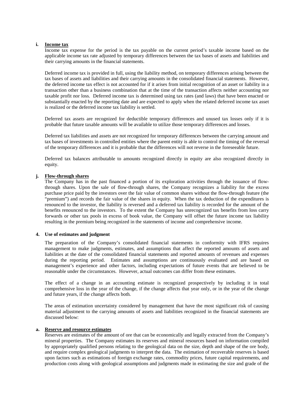#### **i. Income tax**

Income tax expense for the period is the tax payable on the current period's taxable income based on the applicable income tax rate adjusted by temporary differences between the tax bases of assets and liabilities and their carrying amounts in the financial statements.

Deferred income tax is provided in full, using the liability method, on temporary differences arising between the tax bases of assets and liabilities and their carrying amounts in the consolidated financial statements. However, the deferred income tax effect is not accounted for if it arises from initial recognition of an asset or liability in a transaction other than a business combination that at the time of the transaction affects neither accounting nor taxable profit nor loss. Deferred income tax is determined using tax rates (and laws) that have been enacted or substantially enacted by the reporting date and are expected to apply when the related deferred income tax asset is realized or the deferred income tax liability is settled.

Deferred tax assets are recognized for deductible temporary differences and unused tax losses only if it is probable that future taxable amounts will be available to utilize those temporary differences and losses.

Deferred tax liabilities and assets are not recognized for temporary differences between the carrying amount and tax bases of investments in controlled entities where the parent entity is able to control the timing of the reversal of the temporary differences and it is probable that the differences will not reverse in the foreseeable future.

Deferred tax balances attributable to amounts recognized directly in equity are also recognized directly in equity.

#### **j. Flow-through shares**

The Company has in the past financed a portion of its exploration activities through the issuance of flowthrough shares. Upon the sale of flow-through shares, the Company recognizes a liability for the excess purchase price paid by the investors over the fair value of common shares without the flow-through feature (the "premium") and records the fair value of the shares in equity. When the tax deduction of the expenditures is renounced to the investor, the liability is reversed and a deferred tax liability is recorded for the amount of the benefits renounced to the investors. To the extent the Company has unrecognized tax benefits from loss carry forwards or other tax pools in excess of book value, the Company will offset the future income tax liability resulting in the premium being recognized in the statements of income and comprehensive income.

#### **4. Use of estimates and judgment**

The preparation of the Company's consolidated financial statements in conformity with IFRS requires management to make judgments, estimates, and assumptions that affect the reported amounts of assets and liabilities at the date of the consolidated financial statements and reported amounts of revenues and expenses during the reporting period. Estimates and assumptions are continuously evaluated and are based on management's experience and other factors, including expectations of future events that are believed to be reasonable under the circumstances. However, actual outcomes can differ from these estimates.

The effect of a change in an accounting estimate is recognized prospectively by including it in total comprehensive loss in the year of the change, if the change affects that year only, or in the year of the change and future years, if the change affects both.

The areas of estimation uncertainty considered by management that have the most significant risk of causing material adjustment to the carrying amounts of assets and liabilities recognized in the financial statements are discussed below:

#### **a. Reserve and resource estimates**

Reserves are estimates of the amount of ore that can be economically and legally extracted from the Company's mineral properties. The Company estimates its reserves and mineral resources based on information compiled by appropriately qualified persons relating to the geological data on the size, depth and shape of the ore body, and require complex geological judgments to interpret the data. The estimation of recoverable reserves is based upon factors such as estimations of foreign exchange rates, commodity prices, future capital requirements, and production costs along with geological assumptions and judgments made in estimating the size and grade of the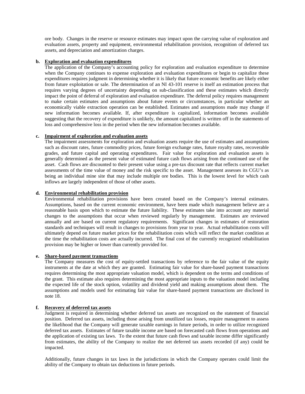ore body. Changes in the reserve or resource estimates may impact upon the carrying value of exploration and evaluation assets, property and equipment, environmental rehabilitation provision, recognition of deferred tax assets, and depreciation and amortization charges.

#### **b. Exploration and evaluation expenditures**

The application of the Company's accounting policy for exploration and evaluation expenditure to determine when the Company continues to expense exploration and evaluation expenditures or begin to capitalize these expenditures requires judgment in determining whether it is likely that future economic benefits are likely either from future exploitation or sale. The determination of an NI 43-101 reserve is itself an estimation process that requires varying degrees of uncertainty depending on sub-classification and these estimates which directly impact the point of deferral of exploration and evaluation expenditure. The deferral policy requires management to make certain estimates and assumptions about future events or circumstances, in particular whether an economically viable extraction operation can be established. Estimates and assumptions made may change if new information becomes available. If, after expenditure is capitalized, information becomes available suggesting that the recovery of expenditure is unlikely, the amount capitalized is written off in the statements of loss and comprehensive loss in the period when the new information becomes available.

#### **c. Impairment of exploration and evaluation assets**

The impairment assessments for exploration and evaluation assets require the use of estimates and assumptions such as discount rates, future commodity prices, future foreign exchange rates, future royalty rates, recoverable grades, and future capital and operating expenditures. Fair value for exploration and evaluation assets is generally determined as the present value of estimated future cash flows arising from the continued use of the asset. Cash flows are discounted to their present value using a pre-tax discount rate that reflects current market assessments of the time value of money and the risk specific to the asset. Management assesses its CGU's as being an individual mine site that may include multiple ore bodies. This is the lowest level for which cash inflows are largely independent of those of other assets.

#### **d. Environmental rehabilitation provision**

Environmental rehabilitation provisions have been created based on the Company's internal estimates. Assumptions, based on the current economic environment, have been made which management believe are a reasonable basis upon which to estimate the future liability. These estimates take into account any material changes to the assumptions that occur when reviewed regularly by management. Estimates are reviewed annually and are based on current regulatory requirements. Significant changes in estimates of restoration standards and techniques will result in changes to provisions from year to year. Actual rehabilitation costs will ultimately depend on future market prices for the rehabilitation costs which will reflect the market condition at the time the rehabilitation costs are actually incurred. The final cost of the currently recognized rehabilitation provision may be higher or lower than currently provided for.

### **e. Share-based payment transactions**

The Company measures the cost of equity-settled transactions by reference to the fair value of the equity instruments at the date at which they are granted. Estimating fair value for share-based payment transactions requires determining the most appropriate valuation model, which is dependent on the terms and conditions of the grant. This estimate also requires determining the most appropriate inputs to the valuation model including the expected life of the stock option, volatility and dividend yield and making assumptions about them. The assumptions and models used for estimating fair value for share-based payment transactions are disclosed in note 18.

#### **f. Recovery of deferred tax assets**

Judgment is required in determining whether deferred tax assets are recognized on the statement of financial position. Deferred tax assets, including those arising from unutilized tax losses, require management to assess the likelihood that the Company will generate taxable earnings in future periods, in order to utilize recognized deferred tax assets. Estimates of future taxable income are based on forecasted cash flows from operations and the application of existing tax laws. To the extent that future cash flows and taxable income differ significantly from estimates, the ability of the Company to realize the net deferred tax assets recorded (if any) could be impacted.

Additionally, future changes in tax laws in the jurisdictions in which the Company operates could limit the ability of the Company to obtain tax deductions in future periods.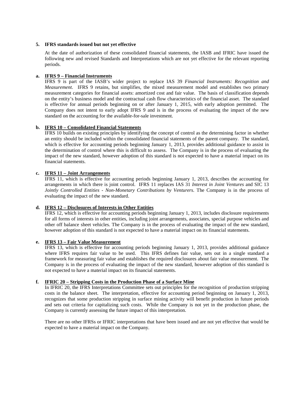#### **5. IFRS standards issued but not yet effective**

At the date of authorization of these consolidated financial statements, the IASB and IFRIC have issued the following new and revised Standards and Interpretations which are not yet effective for the relevant reporting periods.

#### **a. IFRS 9 – Financial Instruments**

IFRS 9 is part of the IASB's wider project to replace IAS 39 *Financial Instruments: Recognition and Measurement*. IFRS 9 retains, but simplifies, the mixed measurement model and establishes two primary measurement categories for financial assets: amortized cost and fair value. The basis of classification depends on the entity's business model and the contractual cash flow characteristics of the financial asset. The standard is effective for annual periods beginning on or after January 1, 2015, with early adoption permitted. The Company does not intent to early adopt IFRS 9 and is in the process of evaluating the impact of the new standard on the accounting for the available-for-sale investment.

#### **b. IFRS 10 – Consolidated Financial Statements**

IFRS 10 builds on existing principles by identifying the concept of control as the determining factor in whether an entity should be included within the consolidated financial statements of the parent company. The standard, which is effective for accounting periods beginning January 1, 2013, provides additional guidance to assist in the determination of control where this is difficult to assess. The Company is in the process of evaluating the impact of the new standard, however adoption of this standard is not expected to have a material impact on its financial statements.

#### **c. IFRS 11 – Joint Arrangements**

IFRS 11, which is effective for accounting periods beginning January 1, 2013, describes the accounting for arrangements in which there is joint control. IFRS 11 replaces IAS 31 *Interest in Joint Ventures* and SIC 13 *Jointly Controlled Entities - Non-Monetary Contributions by Venturers*. The Company is in the process of evaluating the impact of the new standard.

#### **d. IFRS 12 – Disclosures of Interests in Other Entities**

IFRS 12, which is effective for accounting periods beginning January 1, 2013, includes disclosure requirements for all forms of interests in other entities, including joint arrangements, associates, special purpose vehicles and other off balance sheet vehicles. The Company is in the process of evaluating the impact of the new standard, however adoption of this standard is not expected to have a material impact on its financial statements.

#### **e. IFRS 13 – Fair Value Measurement**

IFRS 13, which is effective for accounting periods beginning January 1, 2013, provides additional guidance where IFRS requires fair value to be used. This IFRS defines fair value, sets out in a single standard a framework for measuring fair value and establishes the required disclosures about fair value measurement. The Company is in the process of evaluating the impact of the new standard, however adoption of this standard is not expected to have a material impact on its financial statements.

#### **f. IFRIC 20 – Stripping Costs in the Production Phase of a Surface Mine**

In IFRIC 20, the IFRS Interpretations Committee sets out principles for the recognition of production stripping costs in the balance sheet. The interpretation, effective for accounting period beginning on January 1, 2013, recognizes that some production stripping in surface mining activity will benefit production in future periods and sets out criteria for capitalizing such costs. While the Company is not yet in the production phase, the Company is currently assessing the future impact of this interpretation.

There are no other IFRSs or IFRIC interpretations that have been issued and are not yet effective that would be expected to have a material impact on the Company.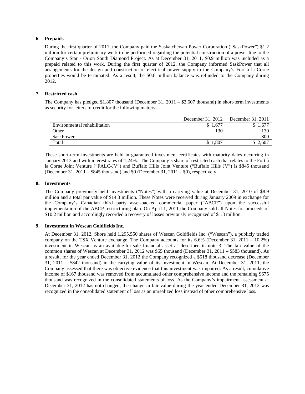#### **6. Prepaids**

During the first quarter of 2011, the Company paid the Saskatchewan Power Corporation ("SaskPower") \$1.2 million for certain preliminary work to be performed regarding the potential construction of a power line to the Company's Star - Orion South Diamond Project. As at December 31, 2011, \$0.9 million was included as a prepaid related to this work. During the first quarter of 2012, the Company informed SaskPower that all arrangements for the design and construction of electrical power supply to the Company's Fort à la Corne properties would be terminated. As a result, the \$0.6 million balance was refunded to the Company during 2012.

#### **7. Restricted cash**

The Company has pledged \$1,807 thousand (December 31, 2011 – \$2,607 thousand) in short-term investments as security for letters of credit for the following matters:

|                              | December 31, 2012        | December 31, 2011 |
|------------------------------|--------------------------|-------------------|
| Environmental rehabilitation | \$1.677                  |                   |
| Other                        | 130                      | 130               |
| SaskPower                    | $\overline{\phantom{a}}$ | 800               |
| Total                        | 1.807<br>\$              | 2,607             |

These short-term investments are held in guaranteed investment certificates with maturity dates occurring in January 2013 and with interest rates of 1.24%. The Company's share of restricted cash that relates to the Fort à la Corne Joint Venture ("FALC-JV") and Buffalo Hills Joint Venture ("Buffalo Hills JV") is \$845 thousand (December 31, 2011 – \$845 thousand) and \$0 (December 31, 2011 – \$0), respectively.

#### **8. Investments**

The Company previously held investments ("Notes") with a carrying value at December 31, 2010 of \$8.9 million and a total par value of \$14.3 million. These Notes were received during January 2009 in exchange for the Company's Canadian third party asset-backed commercial paper ("ABCP") upon the successful implementation of the ABCP restructuring plan. On April 1, 2011 the Company sold all Notes for proceeds of \$10.2 million and accordingly recorded a recovery of losses previously recognized of \$1.3 million.

#### **9. Investment in Wescan Goldfields Inc.**

At December 31, 2012, Shore held 1,295,550 shares of Wescan Goldfields Inc. ("Wescan"), a publicly traded company on the TSX Venture exchange. The Company accounts for its 6.6% (December 31, 2011 – 10.2%) investment in Wescan as an available-for-sale financial asset as described in note 3. The fair value of the common shares of Wescan at December 31, 2012 was \$65 thousand (December 31, 2011 – \$583 thousand). As a result, for the year ended December 31, 2012 the Company recognized a \$518 thousand decrease (December 31, 2011 – \$842 thousand) in the carrying value of its investment in Wescan. At December 31, 2011, the Company assessed that there was objective evidence that this investment was impaired. As a result, cumulative income of \$167 thousand was removed from accumulated other comprehensive income and the remaining \$675 thousand was recognized in the consolidated statements of loss. As the Company's impairment assessment at December 31, 2012 has not changed, the change in fair value during the year ended December 31, 2012 was recognized in the consolidated statement of loss as an unrealized loss instead of other comprehensive loss.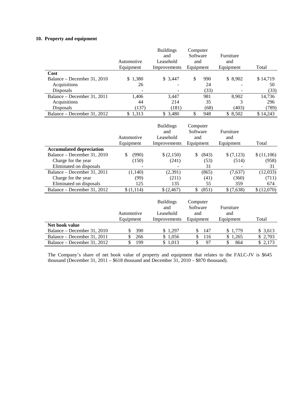#### **10. Property and equipment**

|                                 |                                | <b>Buildings</b>                     | Computer                       |                  |            |
|---------------------------------|--------------------------------|--------------------------------------|--------------------------------|------------------|------------|
|                                 |                                | and                                  | Software                       | Furniture        |            |
|                                 | Automotive                     | Leasehold                            | and                            | and              |            |
|                                 | Equipment                      | Improvements                         | Equipment                      | Equipment        | Total      |
| Cost                            |                                |                                      |                                |                  |            |
| Balance - December 31, 2010     | \$1,380                        | \$3,447                              | \$<br>990                      | \$8,902          | \$14,719   |
| Acquisitions                    | 26                             |                                      | 24                             |                  | 50         |
| Disposals                       |                                |                                      | (33)                           |                  | (33)       |
| Balance - December 31, 2011     | 1,406                          | 3,447                                | 981                            | 8,902            | 14,736     |
| Acquisitions                    | 44                             | 214                                  | 35                             | 3                | 296        |
| Disposals                       | (137)                          | (181)                                | (68)                           | (403)            | (789)      |
| Balance - December 31, 2012     | \$1,313                        | $\bar{\$}$ 3,480                     | \$<br>948                      | \$8,502          | \$14,243   |
|                                 |                                | <b>Buildings</b>                     | Computer                       |                  |            |
|                                 |                                | and                                  | Software                       | Furniture        |            |
|                                 | Automotive                     | Leasehold                            | and                            | and              |            |
|                                 | Equipment                      | Improvements                         | Equipment                      | Equipment        | Total      |
| <b>Accumulated depreciation</b> |                                |                                      |                                |                  |            |
| Balance - December 31, 2010     | \$<br>(990)                    | \$(2,150)                            | \$<br>(843)                    | \$(7,123)        | \$(11,106) |
| Charge for the year             | (150)                          | (241)                                | (53)                           | (514)            | (958)      |
| Eliminated on disposals         |                                |                                      | 31                             |                  | 31         |
| Balance - December 31, 2011     | (1,140)                        | (2, 391)                             | (865)                          | (7,637)          | (12,033)   |
| Charge for the year             | (99)                           | (211)                                | (41)                           | (360)            | (711)      |
| Eliminated on disposals         | 125                            | 135                                  | 55                             | 359              | 674        |
| Balance – December 31, 2012     | \$(1,114)                      | \$(2,467)                            | \$<br>(851)                    | \$(7,638)        | \$(12,070) |
|                                 | Automotive                     | <b>Buildings</b><br>and<br>Leasehold | Computer<br>Software<br>and    | Furniture<br>and |            |
|                                 | Equipment                      | Improvements                         | Equipment                      | Equipment        | Total      |
| Net book value                  |                                |                                      |                                |                  |            |
| Balance - December 31, 2010     | 390<br>\$                      | \$1,297                              | 147<br>\$                      | \$1,779          | \$3,613    |
| Balance – December 31, 2011     | \$<br>266                      | \$1,056                              | $\mathcal{S}$<br>116           | \$<br>1,265      | \$2,703    |
| Balance - December 31, 2012     | $\overline{\mathbb{S}}$<br>199 | \$1,013                              | $\overline{\mathcal{S}}$<br>97 | \$<br>864        | \$2,173    |

The Company's share of net book value of property and equipment that relates to the FALC-JV is \$645 thousand (December 31, 2011 – \$618 thousand and December 31, 2010 – \$870 thousand).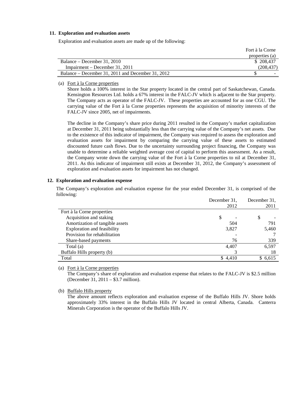#### **11. Exploration and evaluation assets**

Exploration and evaluation assets are made up of the following:

|                                                   | Fort à la Corne |
|---------------------------------------------------|-----------------|
|                                                   | properties (a)  |
| Balance – December 31, 2010                       | \$208,437       |
| $Impairment - December 31, 2011$                  | (208.437)       |
| Balance – December 31, 2011 and December 31, 2012 |                 |

#### (a) Fort à la Corne properties

Shore holds a 100% interest in the Star property located in the central part of Saskatchewan, Canada. Kensington Resources Ltd. holds a 67% interest in the FALC-JV which is adjacent to the Star property. The Company acts as operator of the FALC-JV. These properties are accounted for as one CGU. The carrying value of the Fort à la Corne properties represents the acquisition of minority interests of the FALC-JV since 2005, net of impairments.

The decline in the Company's share price during 2011 resulted in the Company's market capitalization at December 31, 2011 being substantially less than the carrying value of the Company's net assets. Due to the existence of this indicator of impairment, the Company was required to assess the exploration and evaluation assets for impairment by comparing the carrying value of these assets to estimated discounted future cash flows. Due to the uncertainty surrounding project financing, the Company was unable to determine a reliable weighted average cost of capital to perform this assessment. As a result, the Company wrote down the carrying value of the Fort à la Corne properties to nil at December 31, 2011. As this indicator of impairment still exists at December 31, 2012, the Company's assessment of exploration and evaluation assets for impairment has not changed.

#### **12. Exploration and evaluation expense**

The Company's exploration and evaluation expense for the year ended December 31, is comprised of the following:

| 2012<br>2011<br>Fort à la Corne properties<br>Acquisition and staking<br>\$<br>\$<br>Amortization of tangible assets<br>791<br>504 | December 31. | December 31, |
|------------------------------------------------------------------------------------------------------------------------------------|--------------|--------------|
|                                                                                                                                    |              |              |
|                                                                                                                                    |              |              |
|                                                                                                                                    |              |              |
|                                                                                                                                    |              |              |
| <b>Exploration and feasibility</b><br>5,460<br>3,827                                                                               |              |              |
| Provision for rehabilitation                                                                                                       |              |              |
| 76<br>339<br>Share-based payments                                                                                                  |              |              |
| 6,597<br>Total (a)<br>4.407                                                                                                        |              |              |
| Buffalo Hills property (b)<br>18                                                                                                   |              |              |
| Total<br>\$6,615<br>\$4,410                                                                                                        |              |              |

(a) Fort à la Corne properties

The Company's share of exploration and evaluation expense that relates to the FALC-JV is \$2.5 million (December 31, 2011 – \$3.7 million).

(b) Buffalo Hills property

The above amount reflects exploration and evaluation expense of the Buffalo Hills JV. Shore holds approximately 33% interest in the Buffalo Hills JV located in central Alberta, Canada. Canterra Minerals Corporation is the operator of the Buffalo Hills JV.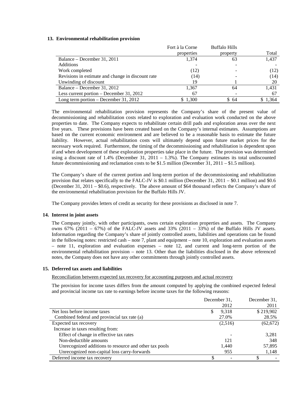#### **13. Environmental rehabilitation provision**

|                                                   | Fort à la Corne | <b>Buffalo Hills</b> |       |
|---------------------------------------------------|-----------------|----------------------|-------|
|                                                   | properties      | property             | Total |
| Balance – December 31, 2011                       | 1.374           | 63                   | 1,437 |
| Additions                                         |                 |                      |       |
| Work completed                                    | (12)            |                      | (12)  |
| Revisions in estimate and change in discount rate | (14)            |                      | (14)  |
| Unwinding of discount                             | 19              |                      | 20    |
| Balance – December 31, 2012                       | 1,367           | 64                   | 1,431 |
| Less current portion – December 31, 2012          | 67              |                      | 67    |
| Long term portion $-$ December 31, 2012           | 1,300           | \$64                 | 1,364 |

The environmental rehabilitation provision represents the Company's share of the present value of decommissioning and rehabilitation costs related to exploration and evaluation work conducted on the above properties to date. The Company expects to rehabilitate certain drill pads and exploration areas over the next five years. These provisions have been created based on the Company's internal estimates. Assumptions are based on the current economic environment and are believed to be a reasonable basis to estimate the future liability. However, actual rehabilitation costs will ultimately depend upon future market prices for the necessary work required. Furthermore, the timing of the decommissioning and rehabilitation is dependent upon if and when development of these exploration properties take place in the future. The provision was determined using a discount rate of 1.4% (December 31, 2011 – 1.3%). The Company estimates its total undiscounted future decommissioning and reclamation costs to be \$1.5 million (December 31, 2011 – \$1.5 million).

The Company's share of the current portion and long-term portion of the decommissioning and rehabilitation provision that relates specifically to the FALC-JV is \$0.1 million (December 31, 2011 – \$0.1 million) and \$0.6 (December 31, 2011 – \$0.6), respectively. The above amount of \$64 thousand reflects the Company's share of the environmental rehabilitation provision for the Buffalo Hills JV.

The Company provides letters of credit as security for these provisions as disclosed in note 7.

#### **14. Interest in joint assets**

The Company jointly, with other participants, owns certain exploration properties and assets. The Company owns  $67\%$  (2011 –  $67\%$ ) of the FALC-JV assets and  $33\%$  (2011 – 33%) of the Buffalo Hills JV assets. Information regarding the Company's share of jointly controlled assets, liabilities and operations can be found in the following notes: restricted cash – note 7, plant and equipment – note 10, exploration and evaluation assets – note 11, exploration and evaluation expenses – note 12, and current and long-term portion of the environmental rehabilitation provision – note 13. Other than the liabilities disclosed in the above referenced notes, the Company does not have any other commitments through jointly controlled assets.

#### **15. Deferred tax assets and liabilities**

Reconciliation between expected tax recovery for accounting purposes and actual recovery

The provision for income taxes differs from the amount computed by applying the combined expected federal and provincial income tax rate to earnings before income taxes for the following reasons:

|                                                        | December 31, | December 31, |
|--------------------------------------------------------|--------------|--------------|
|                                                        | 2012         | 2011         |
| Net loss before income taxes                           | 9,318<br>ъ   | \$219,902    |
| Combined federal and provincial tax rate (a)           | 27.0%        | 28.5%        |
| Expected tax recovery                                  | (2,516)      | (62, 672)    |
| Increase in taxes resulting from:                      |              |              |
| Effect of change in effective tax rates                |              | 3,281        |
| Non-deductible amounts                                 | 121          | 348          |
| Unrecognized additions to resource and other tax pools | 1,440        | 57,895       |
| Unrecognized non-capital loss carry-forwards           | 955          | 1,148        |
| Deferred income tax recovery                           |              |              |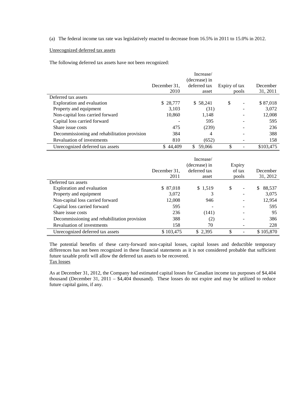(a) The federal income tax rate was legislatively enacted to decrease from 16.5% in 2011 to 15.0% in 2012.

#### Unrecognized deferred tax assets

The following deferred tax assets have not been recognized:

|                                              |              | Increase/     |               |           |
|----------------------------------------------|--------------|---------------|---------------|-----------|
|                                              |              | (decrease) in |               |           |
|                                              | December 31. | deferred tax  | Expiry of tax | December  |
|                                              | 2010         | asset         | pools         | 31, 2011  |
| Deferred tax assets                          |              |               |               |           |
| Exploration and evaluation                   | \$ 28,777    | \$58,241      | \$<br>-       | \$87,018  |
| Property and equipment                       | 3,103        | (31)          |               | 3,072     |
| Non-capital loss carried forward             | 10,860       | 1,148         | ۰             | 12,008    |
| Capital loss carried forward                 |              | 595           |               | 595       |
| Share issue costs                            | 475          | (239)         |               | 236       |
| Decommissioning and rehabilitation provision | 384          | 4             |               | 388       |
| <b>Revaluation of investments</b>            | 810          | (652)         |               | 158       |
| Unrecognized deferred tax assets             | \$44.409     | S.<br>59,066  | \$            | \$103,475 |

|                                              | December 31.<br>2011 | Increase/<br>(decrease) in<br>deferred tax<br>asset | Expiry | of tax<br>pools | December<br>31, 2012 |
|----------------------------------------------|----------------------|-----------------------------------------------------|--------|-----------------|----------------------|
| Deferred tax assets                          |                      |                                                     |        |                 |                      |
| Exploration and evaluation                   | \$ 87,018            | \$1,519                                             | \$     | -               | 88,537<br>S.         |
| Property and equipment                       | 3.072                |                                                     |        | -               | 3.075                |
| Non-capital loss carried forward             | 12.008               | 946                                                 |        |                 | 12,954               |
| Capital loss carried forward                 | 595                  |                                                     |        |                 | 595                  |
| Share issue costs                            | 236                  | (141)                                               |        | -               | 95                   |
| Decommissioning and rehabilitation provision | 388                  | (2)                                                 |        |                 | 386                  |
| Revaluation of investments                   | 158                  | 70                                                  |        |                 | 228                  |
| Unrecognized deferred tax assets             | \$103,475            | \$2,395                                             |        |                 | \$105,870            |

The potential benefits of these carry-forward non-capital losses, capital losses and deductible temporary differences has not been recognized in these financial statements as it is not considered probable that sufficient future taxable profit will allow the deferred tax assets to be recovered. Tax losses

As at December 31, 2012, the Company had estimated capital losses for Canadian income tax purposes of \$4,404 thousand (December 31, 2011 – \$4,404 thousand). These losses do not expire and may be utilized to reduce future capital gains, if any.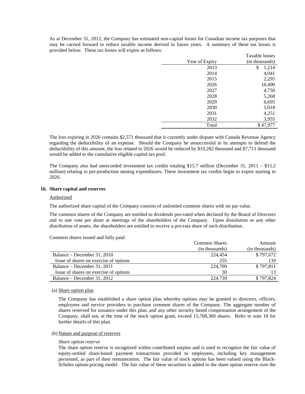As at December 31, 2012, the Company has estimated non-capital losses for Canadian income tax purposes that may be carried forward to reduce taxable income derived in future years. A summary of these tax losses is provided below. These tax losses will expire as follows:

|                | Taxable losses |
|----------------|----------------|
| Year of Expiry | (in thousands) |
| 2013           | \$<br>1,214    |
| 2014           | 4,041          |
| 2015           | 2,295          |
| 2026           | 10,490         |
| 2027           | 4,750          |
| 2028           | 5,268          |
| 2029           | 6,695          |
| 2030           | 5,018          |
| 2031           | 4,251          |
| 2032           | 3,955          |
| Total          | \$47,977       |

The loss expiring in 2026 contains \$2,571 thousand that is currently under dispute with Canada Revenue Agency regarding the deductibility of an expense. Should the Company be unsuccessful in its attempts to defend the deductibility of this amount, the loss related to 2026 would be reduced by \$10,282 thousand and \$7,711 thousand would be added to the cumulative eligible capital tax pool.

The Company also had unrecorded investment tax credits totaling \$15.7 million (December 31, 2011 – \$15.2 million) relating to pre-production mining expenditures. These investment tax credits begin to expire starting in 2026.

#### **16. Share capital and reserves**

#### Authorized

The authorized share capital of the Company consists of unlimited common shares with no par value.

The common shares of the Company are entitled to dividends pro-rated when declared by the Board of Directors and to one vote per share at meetings of the shareholders of the Company. Upon dissolution or any other distribution of assets, the shareholders are entitled to receive a pro-rata share of such distribution.

Common shares issued and fully paid:

|                                        | <b>Common Shares</b> | Amount         |
|----------------------------------------|----------------------|----------------|
|                                        | (in thousands)       | (in thousands) |
| Balance – December 31, 2010            | 224,454              | \$797,672      |
| Issue of shares on exercise of options | 255                  | 139            |
| Balance – December 31, 2011            | 224,709              | \$797,811      |
| Issue of shares on exercise of options | 30                   |                |
| Balance – December 31, 2012            | 224,739              | \$797.824      |

#### (a) Share option plan

The Company has established a share option plan whereby options may be granted to directors, officers, employees and service providers to purchase common shares of the Company. The aggregate number of shares reserved for issuance under this plan, and any other security based compensation arrangement of the Company, shall not, at the time of the stock option grant, exceed 15,768,360 shares. Refer to note 18 for further details of this plan.

#### (b) Nature and purpose of reserves

#### *Share option reserve*

The share option reserve is recognized within contributed surplus and is used to recognize the fair value of equity-settled share-based payment transactions provided to employees, including key management personnel, as part of their remuneration. The fair value of stock options has been valued using the Black-Scholes option-pricing model. The fair value of these securities is added to the share option reserve over the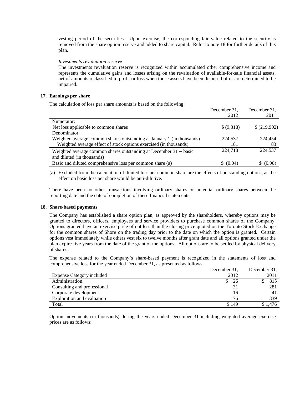vesting period of the securities. Upon exercise, the corresponding fair value related to the security is removed from the share option reserve and added to share capital. Refer to note 18 for further details of this plan.

#### *Investments revaluation reserve*

The investments revaluation reserve is recognized within accumulated other comprehensive income and represents the cumulative gains and losses arising on the revaluation of available-for-sale financial assets, net of amounts reclassified to profit or loss when those assets have been disposed of or are determined to be impaired.

#### **17. Earnings per share**

The calculation of loss per share amounts is based on the following:

|                                                                            | December 31, | December 31, |
|----------------------------------------------------------------------------|--------------|--------------|
|                                                                            | 2012         | 2011         |
| Numerator:                                                                 |              |              |
| Net loss applicable to common shares                                       | \$ (9,318)   | \$ (219,902) |
| Denominator:                                                               |              |              |
| Weighted average common shares outstanding at January 1 (in thousands)     | 224.537      | 224,454      |
| Weighted average effect of stock options exercised (in thousands)          | 181          | 83           |
| Weighted average common shares outstanding at December $31 - \text{basic}$ | 224,718      | 224,537      |
| and diluted (in thousands)                                                 |              |              |
| Basic and diluted comprehensive loss per common share (a)                  | \$ (0.04)    | \$ (0.98)    |
|                                                                            |              |              |

(a) Excluded from the calculation of diluted loss per common share are the effects of outstanding options, as the effect on basic loss per share would be anti-dilutive.

There have been no other transactions involving ordinary shares or potential ordinary shares between the reporting date and the date of completion of these financial statements.

#### **18. Share-based payments**

The Company has established a share option plan, as approved by the shareholders, whereby options may be granted to directors, officers, employees and service providers to purchase common shares of the Company. Options granted have an exercise price of not less than the closing price quoted on the Toronto Stock Exchange for the common shares of Shore on the trading day prior to the date on which the option is granted. Certain options vest immediately while others vest six to twelve months after grant date and all options granted under the plan expire five years from the date of the grant of the options. All options are to be settled by physical delivery of shares.

The expense related to the Company's share-based payment is recognized in the statements of loss and comprehensive loss for the year ended December 31, as presented as follows:

|                                  | December 31, | December 31, |
|----------------------------------|--------------|--------------|
| <b>Expense Category included</b> | 2012         | 2011         |
| Administration                   | 26           | 815          |
| Consulting and professional      | 31           | 281          |
| Corporate development            | 16           |              |
| Exploration and evaluation       | 76           | 339          |
| Total                            | \$149        | \$1.476      |

Option movements (in thousands) during the years ended December 31 including weighted average exercise prices are as follows: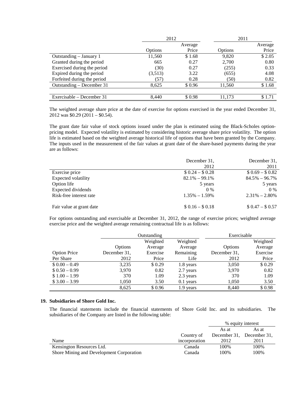| Average |
|---------|
|         |
| Price   |
| \$2.05  |
| 0.80    |
| 0.33    |
| 4.08    |
| 0.82    |
| \$1.68  |
|         |
| \$1.71  |
|         |

The weighted average share price at the date of exercise for options exercised in the year ended December 31, 2012 was \$0.29 (2011 – \$0.54).

The grant date fair value of stock options issued under the plan is estimated using the Black-Scholes optionpricing model. Expected volatility is estimated by considering historic average share price volatility. The option life is estimated based on the weighted average historical life of options that have been granted by the Company. The inputs used in the measurement of the fair values at grant date of the share-based payments during the year are as follows:

|                          | December 31,      | December 31,      |
|--------------------------|-------------------|-------------------|
|                          | 2012              | 2011              |
| Exercise price           | $$0.24 - $0.28$   | $$0.69 - $0.82$   |
| Expected volatility      | $82.1\% - 99.1\%$ | $84.5\% - 96.7\%$ |
| Option life              | 5 years           | 5 years           |
| Expected dividends       | $0\%$             | $0\%$             |
| Risk-free interest rate  | $1.35\% - 1.59\%$ | $2.31\% - 2.80\%$ |
| Fair value at grant date | $$0.16 - $0.18$   | $$0.47 - $0.57$   |

For options outstanding and exercisable at December 31, 2012, the range of exercise prices; weighted average exercise price and the weighted average remaining contractual life is as follows:

|                     |              | Outstanding |             | Exercisable  |          |
|---------------------|--------------|-------------|-------------|--------------|----------|
|                     |              | Weighted    | Weighted    |              | Weighted |
|                     | Options      | Average     | Average     | Options      | Average  |
| <b>Option Price</b> | December 31, | Exercise    | Remaining   | December 31, | Exercise |
| Per Share           | 2012         | Price       | Life        | 2012         | Price    |
| $$0.00 - 0.49$      | 3,235        | \$0.29      | 1.8 years   | 3,050        | \$0.29   |
| $$0.50 - 0.99$      | 3,970        | 0.82        | 2.7 years   | 3,970        | 0.82     |
| $$1.00 - 1.99$      | 370          | 1.09        | 2.3 years   | 370          | 1.09     |
| $$3.00 - 3.99$      | 1,050        | 3.50        | $0.1$ years | 1,050        | 3.50     |
|                     | 8,625        | \$0.96      | 1.9 years   | 8.440        | \$0.98   |

#### **19. Subsidiaries of Shore Gold Inc.**

The financial statements include the financial statements of Shore Gold Inc. and its subsidiaries. The subsidiaries of the Company are listed in the following table:

|                                          |               | % equity interest         |       |
|------------------------------------------|---------------|---------------------------|-------|
|                                          |               | As at                     | As at |
|                                          | Country of    | December 31, December 31, |       |
| Name                                     | incorporation | 2012                      | 2011  |
| Kensington Resources Ltd.                | Canada        | 100%                      | 100%  |
| Shore Mining and Development Corporation | Canada        | 100%                      | 100%  |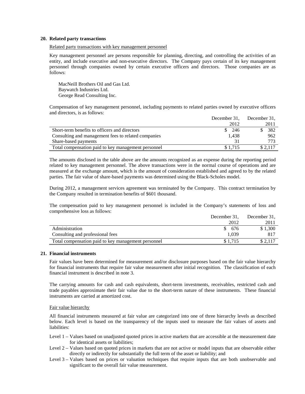#### **20. Related party transactions**

#### Related party transactions with key management personnel

Key management personnel are persons responsible for planning, directing, and controlling the activities of an entity, and include executive and non-executive directors. The Company pays certain of its key management personnel through companies owned by certain executive officers and directors. Those companies are as follows:

MacNeill Brothers Oil and Gas Ltd. Baywatch Industries Ltd. George Read Consulting Inc.

Compensation of key management personnel, including payments to related parties owned by executive officers and directors, is as follows:

|                                                     | December 31,     | December 31, |  |
|-----------------------------------------------------|------------------|--------------|--|
|                                                     | 2012             | 2011         |  |
| Short-term benefits to officers and directors       | $\frac{\$}{246}$ | 382          |  |
| Consulting and management fees to related companies | 1.438            | 962          |  |
| Share-based payments                                |                  | 773.         |  |
| Total compensation paid to key management personnel | \$1.715          | \$2.117      |  |

The amounts disclosed in the table above are the amounts recognized as an expense during the reporting period related to key management personnel. The above transactions were in the normal course of operations and are measured at the exchange amount, which is the amount of consideration established and agreed to by the related parties. The fair value of share-based payments was determined using the Black-Scholes model.

During 2012, a management services agreement was terminated by the Company. This contract termination by the Company resulted in termination benefits of \$601 thousand.

The compensation paid to key management personnel is included in the Company's statements of loss and comprehensive loss as follows:

|                                                     | December 31, | December 31, |
|-----------------------------------------------------|--------------|--------------|
|                                                     | 2012         | 2011         |
| Administration                                      | \$676        | \$1,300      |
| Consulting and professional fees                    | 1.039        | 817          |
| Total compensation paid to key management personnel | \$1.715      |              |

#### **21. Financial instruments**

Fair values have been determined for measurement and/or disclosure purposes based on the fair value hierarchy for financial instruments that require fair value measurement after initial recognition. The classification of each financial instrument is described in note 3.

The carrying amounts for cash and cash equivalents, short-term investments, receivables, restricted cash and trade payables approximate their fair value due to the short-term nature of these instruments. These financial instruments are carried at amortized cost.

#### Fair value hierarchy

All financial instruments measured at fair value are categorized into one of three hierarchy levels as described below. Each level is based on the transparency of the inputs used to measure the fair values of assets and liabilities:

- Level 1 Values based on unadjusted quoted prices in active markets that are accessible at the measurement date for identical assets or liabilities;
- Level 2 Values based on quoted prices in markets that are not active or model inputs that are observable either directly or indirectly for substantially the full term of the asset or liability; and
- Level 3 Values based on prices or valuation techniques that require inputs that are both unobservable and significant to the overall fair value measurement.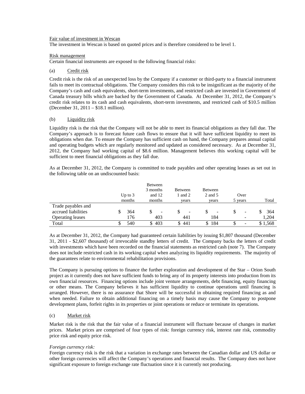#### Fair value of investment in Wescan

The investment in Wescan is based on quoted prices and is therefore considered to be level 1.

#### Risk management

Certain financial instruments are exposed to the following financial risks:

#### (a) Credit risk

Credit risk is the risk of an unexpected loss by the Company if a customer or third-party to a financial instrument fails to meet its contractual obligations. The Company considers this risk to be insignificant as the majority of the Company's cash and cash equivalents, short-term investments, and restricted cash are invested in Government of Canada treasury bills which are backed by the Government of Canada. At December 31, 2012, the Company's credit risk relates to its cash and cash equivalents, short-term investments, and restricted cash of \$10.5 million (December 31, 2011 – \$18.1 million).

#### (b) Liquidity risk

Liquidity risk is the risk that the Company will not be able to meet its financial obligations as they fall due. The Company's approach is to forecast future cash flows to ensure that it will have sufficient liquidity to meet its obligations when due. To ensure the Company has sufficient cash on hand, the Company prepares annual capital and operating budgets which are regularly monitored and updated as considered necessary. As at December 31, 2012, the Company had working capital of \$8.6 million. Management believes this working capital will be sufficient to meet financial obligations as they fall due.

As at December 31, 2012, the Company is committed to trade payables and other operating leases as set out in the following table on an undiscounted basis:

|                         | Up to $3$ | Between<br>3 months<br>and 12 | Between<br>1 and 2 | <b>Between</b><br>2 and 5 | Over                     |          |
|-------------------------|-----------|-------------------------------|--------------------|---------------------------|--------------------------|----------|
|                         | months    | months                        | vears              | vears                     | 5 years                  | Total    |
| Trade payables and      |           |                               |                    |                           |                          |          |
| accrued liabilities     | 364       | -                             | S<br>-             | -                         | -                        | 364<br>S |
| <b>Operating leases</b> | 176       | 403                           | 441                | 184                       | $\overline{\phantom{a}}$ | 1,204    |
| Total                   | 540       | 403<br>\$                     | -441               | 184                       | $\overline{\phantom{0}}$ | \$1,568  |

As at December 31, 2012, the Company had guaranteed certain liabilities by issuing \$1,807 thousand (December 31, 2011 - \$2,607 thousand) of irrevocable standby letters of credit. The Company backs the letters of credit with investments which have been recorded on the financial statements as restricted cash (note 7). The Company does not include restricted cash in its working capital when analyzing its liquidity requirements. The majority of the guarantees relate to environmental rehabilitation provisions.

The Company is pursuing options to finance the further exploration and development of the Star – Orion South project as it currently does not have sufficient funds to bring any of its property interests into production from its own financial resources. Financing options include joint venture arrangements, debt financing, equity financing or other means. The Company believes it has sufficient liquidity to continue operations until financing is arranged. However, there is no assurance that Shore will be successful in obtaining required financing as and when needed. Failure to obtain additional financing on a timely basis may cause the Company to postpone development plans, forfeit rights in its properties or joint operations or reduce or terminate its operations.

#### (c) Market risk

Market risk is the risk that the fair value of a financial instrument will fluctuate because of changes in market prices. Market prices are comprised of four types of risk: foreign currency risk, interest rate risk, commodity price risk and equity price risk.

#### *Foreign currency risk:*

Foreign currency risk is the risk that a variation in exchange rates between the Canadian dollar and US dollar or other foreign currencies will affect the Company's operations and financial results. The Company does not have significant exposure to foreign exchange rate fluctuation since it is currently not producing.